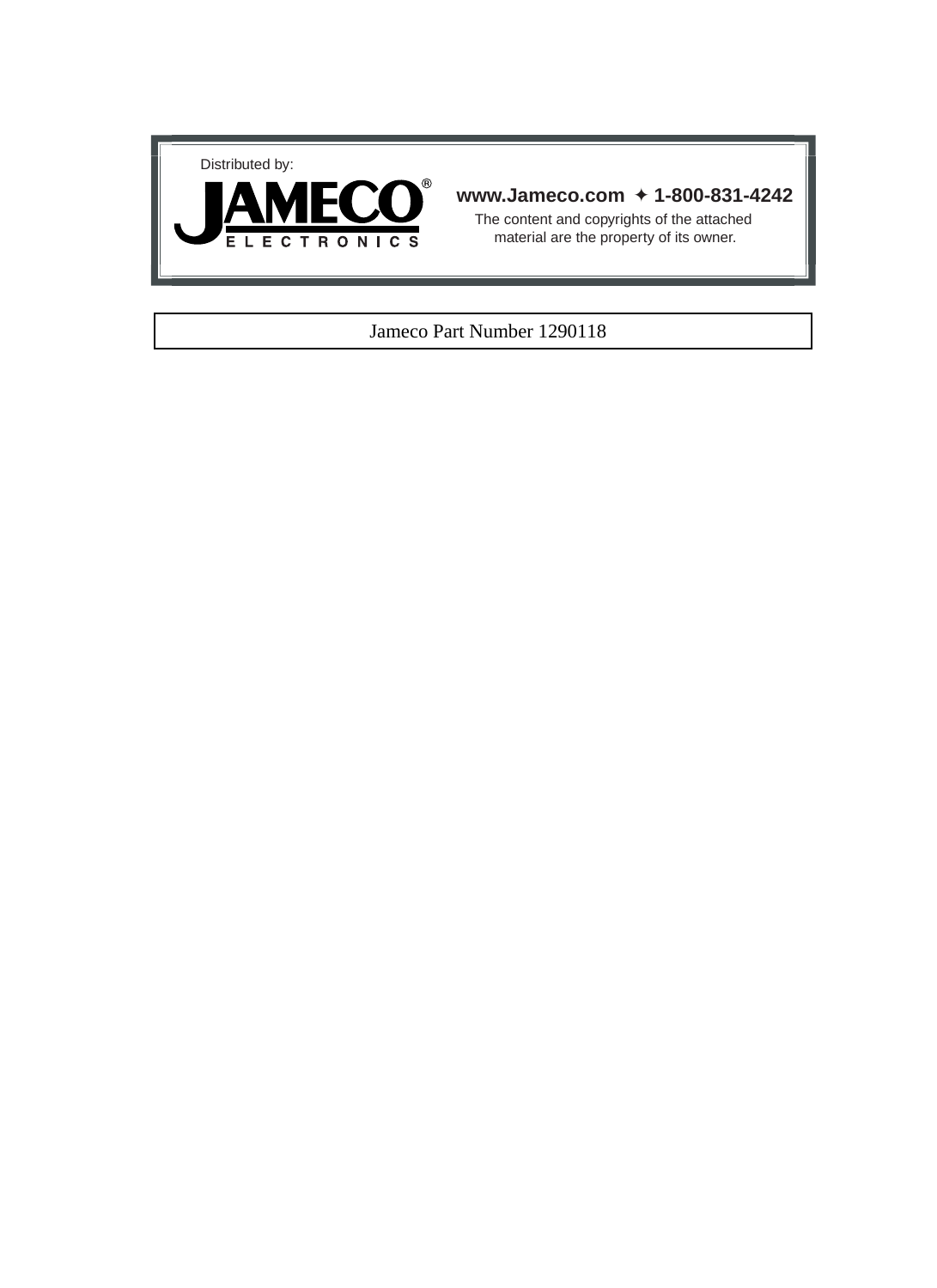



## **www.Jameco.com** ✦ **1-800-831-4242**

The content and copyrights of the attached material are the property of its owner.

## Jameco Part Number 1290118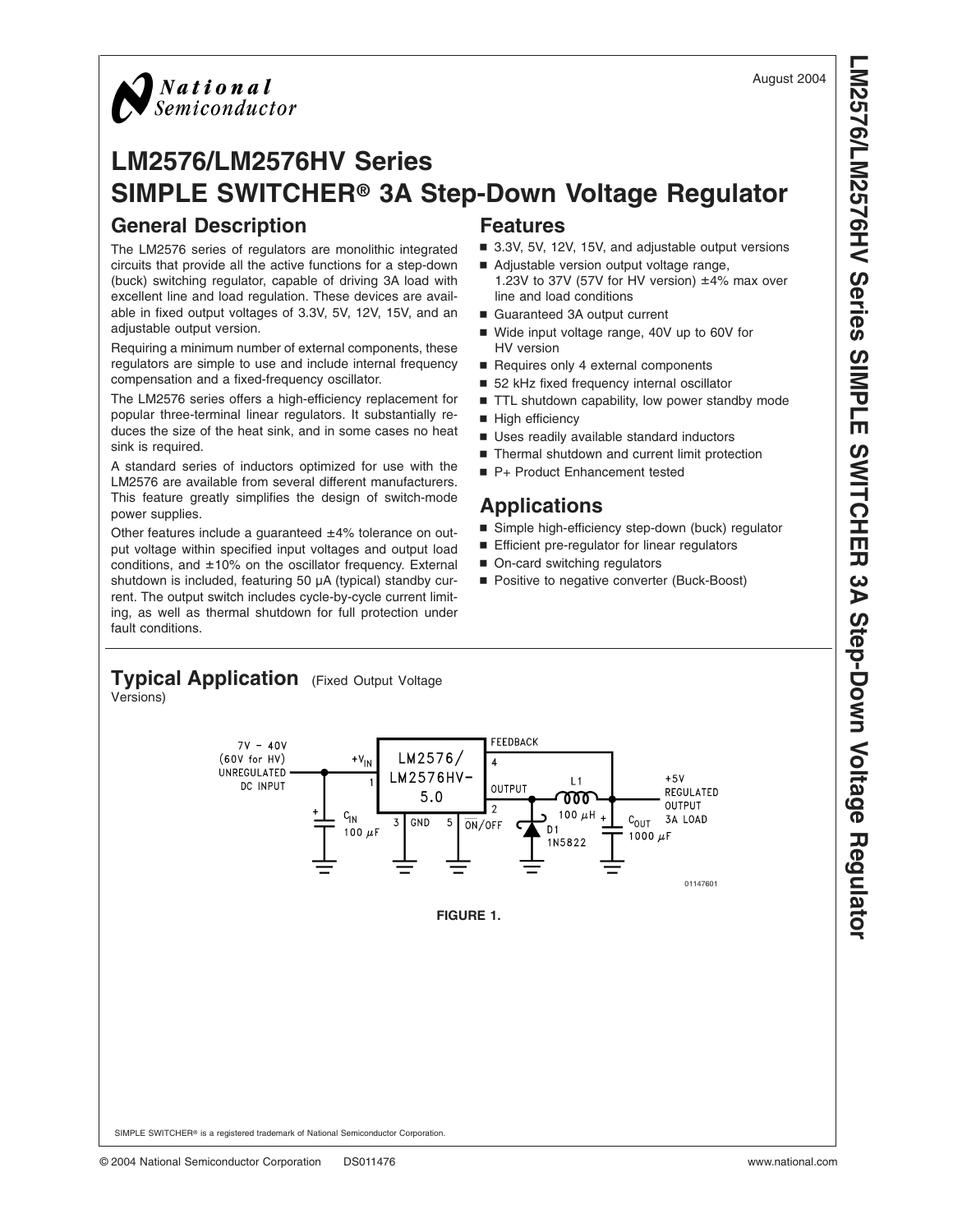

# **LM2576/LM2576HV Series SIMPLE SWITCHER® 3A Step-Down Voltage Regulator General Description Features**

The LM2576 series of regulators are monolithic integrated circuits that provide all the active functions for a step-down (buck) switching regulator, capable of driving 3A load with excellent line and load regulation. These devices are available in fixed output voltages of 3.3V, 5V, 12V, 15V, and an adjustable output version.

Requiring a minimum number of external components, these regulators are simple to use and include internal frequency compensation and a fixed-frequency oscillator.

The LM2576 series offers a high-efficiency replacement for popular three-terminal linear regulators. It substantially reduces the size of the heat sink, and in some cases no heat sink is required.

A standard series of inductors optimized for use with the LM2576 are available from several different manufacturers. This feature greatly simplifies the design of switch-mode power supplies.

Other features include a guaranteed ±4% tolerance on output voltage within specified input voltages and output load conditions, and ±10% on the oscillator frequency. External shutdown is included, featuring 50 µA (typical) standby current. The output switch includes cycle-by-cycle current limiting, as well as thermal shutdown for full protection under fault conditions.

- 3.3V, 5V, 12V, 15V, and adjustable output versions
- Adjustable version output voltage range, 1.23V to 37V (57V for HV version) ±4% max over line and load conditions
- Guaranteed 3A output current
- Wide input voltage range, 40V up to 60V for HV version
- Requires only 4 external components
- 52 kHz fixed frequency internal oscillator
- TTL shutdown capability, low power standby mode
- High efficiency
- Uses readily available standard inductors
- Thermal shutdown and current limit protection
- P+ Product Enhancement tested

# **Applications**

- Simple high-efficiency step-down (buck) regulator
- Efficient pre-regulator for linear regulators
- On-card switching regulators
- Positive to negative converter (Buck-Boost)

# **Typical Application** (Fixed Output Voltage

Versions)

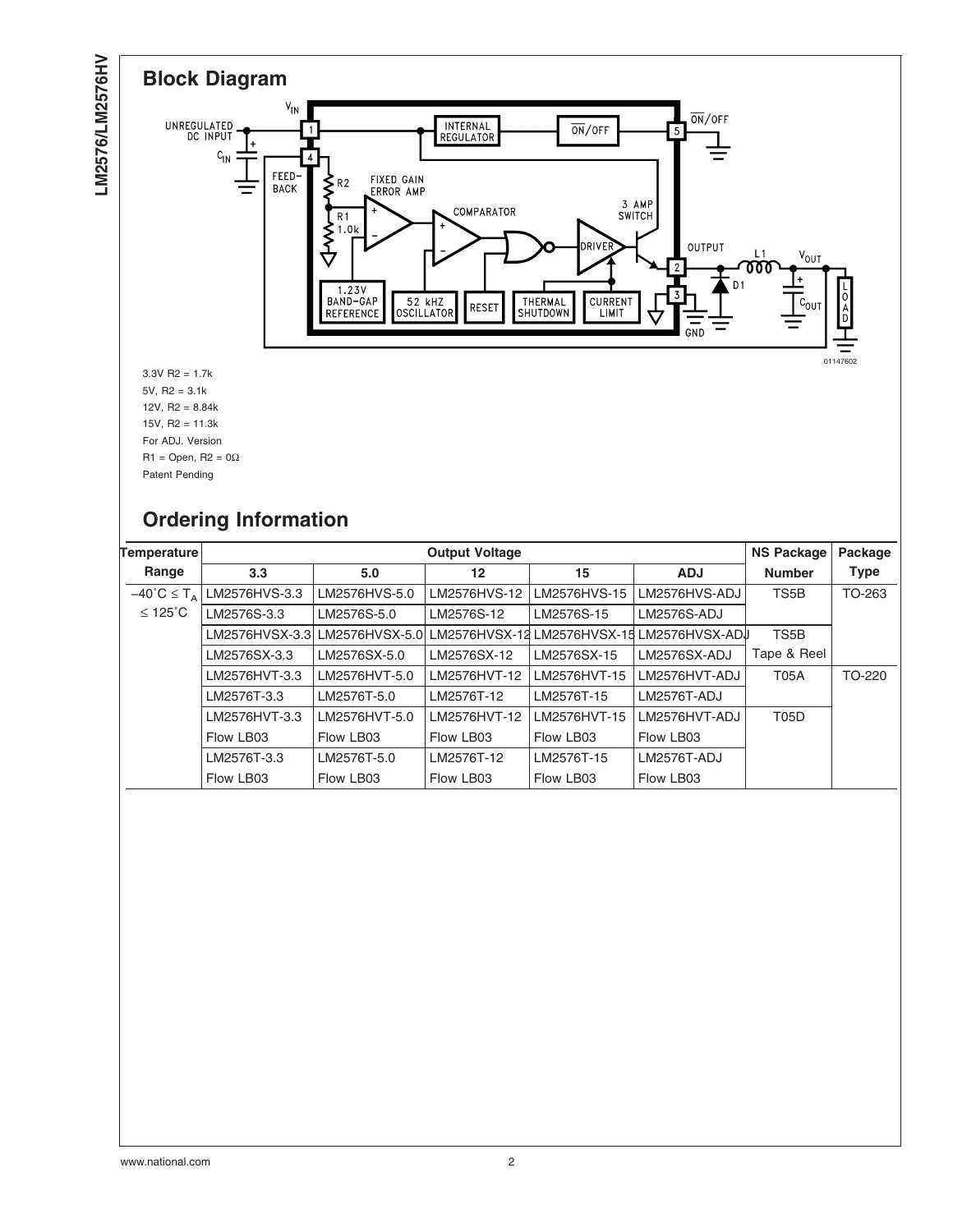

# **Ordering Information**

| Temperature                           |               | <b>Output Voltage</b>                                                    |              |              |               |                   | Package     |
|---------------------------------------|---------------|--------------------------------------------------------------------------|--------------|--------------|---------------|-------------------|-------------|
| Range                                 | 3.3           | 5.0                                                                      | 12           | 15           | <b>ADJ</b>    | <b>Number</b>     | <b>Type</b> |
| $-40^{\circ}$ C $\leq$ T <sub>A</sub> | LM2576HVS-3.3 | LM2576HVS-5.0                                                            | LM2576HVS-12 | LM2576HVS-15 | LM2576HVS-ADJ | TS5B              | TO-263      |
| $≤ 125$ °C                            | LM2576S-3.3   | LM2576S-5.0                                                              | LM2576S-12   | LM2576S-15   | LM2576S-ADJ   |                   |             |
|                                       |               | LM2576HVSX-3.3 LM2576HVSX-5.0 LM2576HVSX-12 LM2576HVSX-15 LM2576HVSX-ADJ |              |              |               | TS <sub>5</sub> B |             |
|                                       | LM2576SX-3.3  | LM2576SX-5.0                                                             | LM2576SX-12  | LM2576SX-15  | LM2576SX-ADJ  | Tape & Reel       |             |
|                                       | LM2576HVT-3.3 | LM2576HVT-5.0                                                            | LM2576HVT-12 | LM2576HVT-15 | LM2576HVT-ADJ | <b>T05A</b>       | TO-220      |
|                                       | LM2576T-3.3   | LM2576T-5.0                                                              | LM2576T-12   | LM2576T-15   | LM2576T-ADJ   |                   |             |
|                                       | LM2576HVT-3.3 | LM2576HVT-5.0                                                            | LM2576HVT-12 | LM2576HVT-15 | LM2576HVT-ADJ | <b>T05D</b>       |             |
|                                       | Flow LB03     | Flow LB03                                                                | Flow LB03    | Flow LB03    | Flow LB03     |                   |             |
|                                       | LM2576T-3.3   | LM2576T-5.0                                                              | LM2576T-12   | LM2576T-15   | LM2576T-ADJ   |                   |             |
|                                       | Flow LB03     | Flow LB03                                                                | Flow LB03    | Flow LB03    | Flow LB03     |                   |             |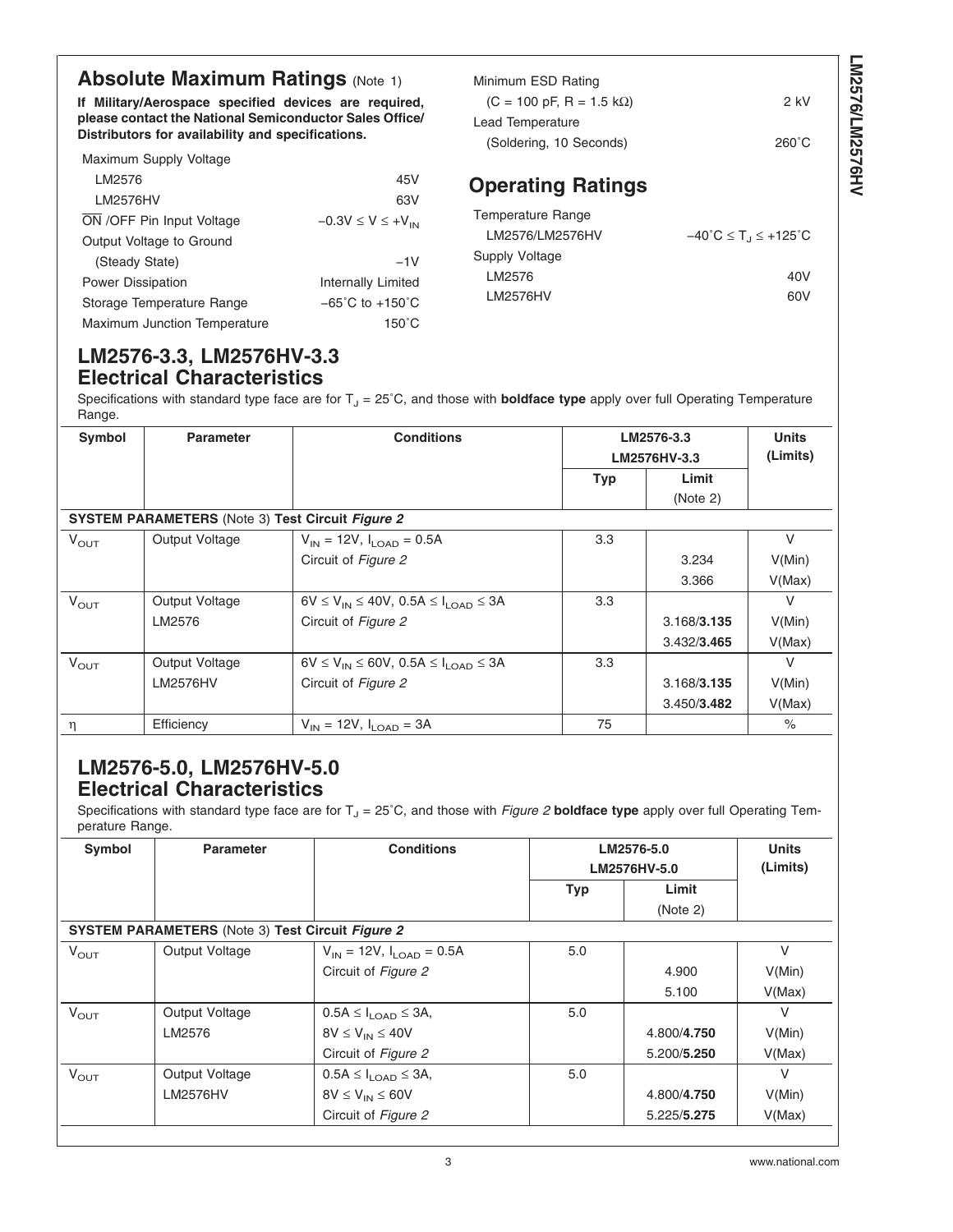# **Absolute Maximum Ratings [\(Note 1\)](#page-6-0)**

**If Military/Aerospace specified devices are required, please contact the National Semiconductor Sales Office/ Distributors for availability and specifications.**

| Maximum Supply Voltage              |                                     |
|-------------------------------------|-------------------------------------|
| LM2576                              | 45V                                 |
| LM2576HV                            | 63V                                 |
| ON /OFF Pin Input Voltage           | $-0.3V \le V \le +V_{IN}$           |
| Output Voltage to Ground            |                                     |
| (Steady State)                      | $-1V$                               |
| <b>Power Dissipation</b>            | Internally Limited                  |
| Storage Temperature Range           | $-65^{\circ}$ C to $+150^{\circ}$ C |
| <b>Maximum Junction Temperature</b> | 150°C                               |

| Minimum ESD Rating                              |       |
|-------------------------------------------------|-------|
| $(C = 100 \text{ pF}, R = 1.5 \text{ k}\Omega)$ | 2 kV  |
| Lead Temperature                                |       |
| (Soldering, 10 Seconds)                         | 260°C |
|                                                 |       |

# **Operating Ratings**

| Temperature Range |                                                                |
|-------------------|----------------------------------------------------------------|
| LM2576/LM2576HV   | $-40^{\circ}$ C $\leq$ T <sub>1</sub> $\leq$ +125 $^{\circ}$ C |
| Supply Voltage    |                                                                |
| LM2576            | 40V                                                            |
| LM2576HV          | 60V                                                            |

# **LM2576-3.3, LM2576HV-3.3 Electrical Characteristics**

Specifications with standard type face are for T<sub>J</sub> = 25°C, and those with **boldface type** apply over full Operating Temperature Range.

| Symbol                                                  | <b>Parameter</b> | <b>Conditions</b>                                    |            | LM2576-3.3<br>LM2576HV-3.3 | <b>Units</b><br>(Limits) |  |
|---------------------------------------------------------|------------------|------------------------------------------------------|------------|----------------------------|--------------------------|--|
|                                                         |                  |                                                      | <b>Typ</b> | Limit                      |                          |  |
|                                                         |                  |                                                      |            | (Note 2)                   |                          |  |
| <b>SYSTEM PARAMETERS</b> (Note 3) Test Circuit Figure 2 |                  |                                                      |            |                            |                          |  |
| $V_{\text{OUT}}$                                        | Output Voltage   | $V_{IN}$ = 12V, $I_{I OAD}$ = 0.5A                   | 3.3        |                            | V                        |  |
|                                                         |                  | Circuit of Figure 2                                  |            | 3.234                      | V(Min)                   |  |
|                                                         |                  |                                                      |            | 3.366                      | V(Max)                   |  |
| $V_{\text{OUT}}$                                        | Output Voltage   | $6V \le V_{IN} \le 40V$ , 0.5A $\le I_{LOAD} \le 3A$ | 3.3        |                            | $\vee$                   |  |
|                                                         | LM2576           | Circuit of Figure 2                                  |            | 3.168/3.135                | V(Min)                   |  |
|                                                         |                  |                                                      |            | 3.432/3.465                | V(Max)                   |  |
| $V_{\text{OUT}}$                                        | Output Voltage   | $6V \le V_{IN} \le 60V$ , 0.5A $\le I_{LOAD} \le 3A$ | 3.3        |                            | V                        |  |
|                                                         | <b>LM2576HV</b>  | Circuit of Figure 2                                  |            | 3.168/3.135                | V(Min)                   |  |
|                                                         |                  |                                                      |            | 3.450/3.482                | V(Max)                   |  |
| η                                                       | Efficiency       | $V_{IN}$ = 12V, $I_{I, OAD}$ = 3A                    | 75         |                            | $\%$                     |  |

# **LM2576-5.0, LM2576HV-5.0 Electrical Characteristics**

Specifications with standard type face are for  $T_J = 25^\circ C$ , and those with *[Figure 2](#page-10-0)* **boldface type** apply over full Operating Temperature Range.

| Symbol           | <b>Parameter</b>                                        | <b>Conditions</b>                               |            | LM2576-5.0<br>LM2576HV-5.0 | <b>Units</b><br>(Limits) |
|------------------|---------------------------------------------------------|-------------------------------------------------|------------|----------------------------|--------------------------|
|                  |                                                         |                                                 | <b>Typ</b> | Limit                      |                          |
|                  |                                                         |                                                 |            | (Note 2)                   |                          |
|                  | <b>SYSTEM PARAMETERS</b> (Note 3) Test Circuit Figure 2 |                                                 |            |                            |                          |
| $V_{\text{OUT}}$ | Output Voltage                                          | $V_{\text{IN}}$ = 12V, $I_{\text{LOAD}}$ = 0.5A | 5.0        |                            | $\vee$                   |
|                  |                                                         | Circuit of Figure 2                             |            | 4.900                      | V(Min)                   |
|                  |                                                         |                                                 |            | 5.100                      | V(Max)                   |
| $V_{\text{OUT}}$ | Output Voltage                                          | $0.5A \leq I_{\text{LOAD}} \leq 3A,$            | 5.0        |                            | V                        |
|                  | LM2576                                                  | $8V \leq V_{IN} \leq 40V$                       |            | 4.800/4.750                | V(Min)                   |
|                  |                                                         | Circuit of Figure 2                             |            | 5.200/5.250                | V(Max)                   |
| $V_{\text{OUT}}$ | Output Voltage                                          | $0.5A \leq I_{\text{LOAD}} \leq 3A,$            | 5.0        |                            | V                        |
|                  | <b>LM2576HV</b>                                         | $8V \leq V_{IN} \leq 60V$                       |            | 4.800/4.750                | V(Min)                   |
|                  |                                                         | Circuit of Figure 2                             |            | 5.225/5.275                | V(Max)                   |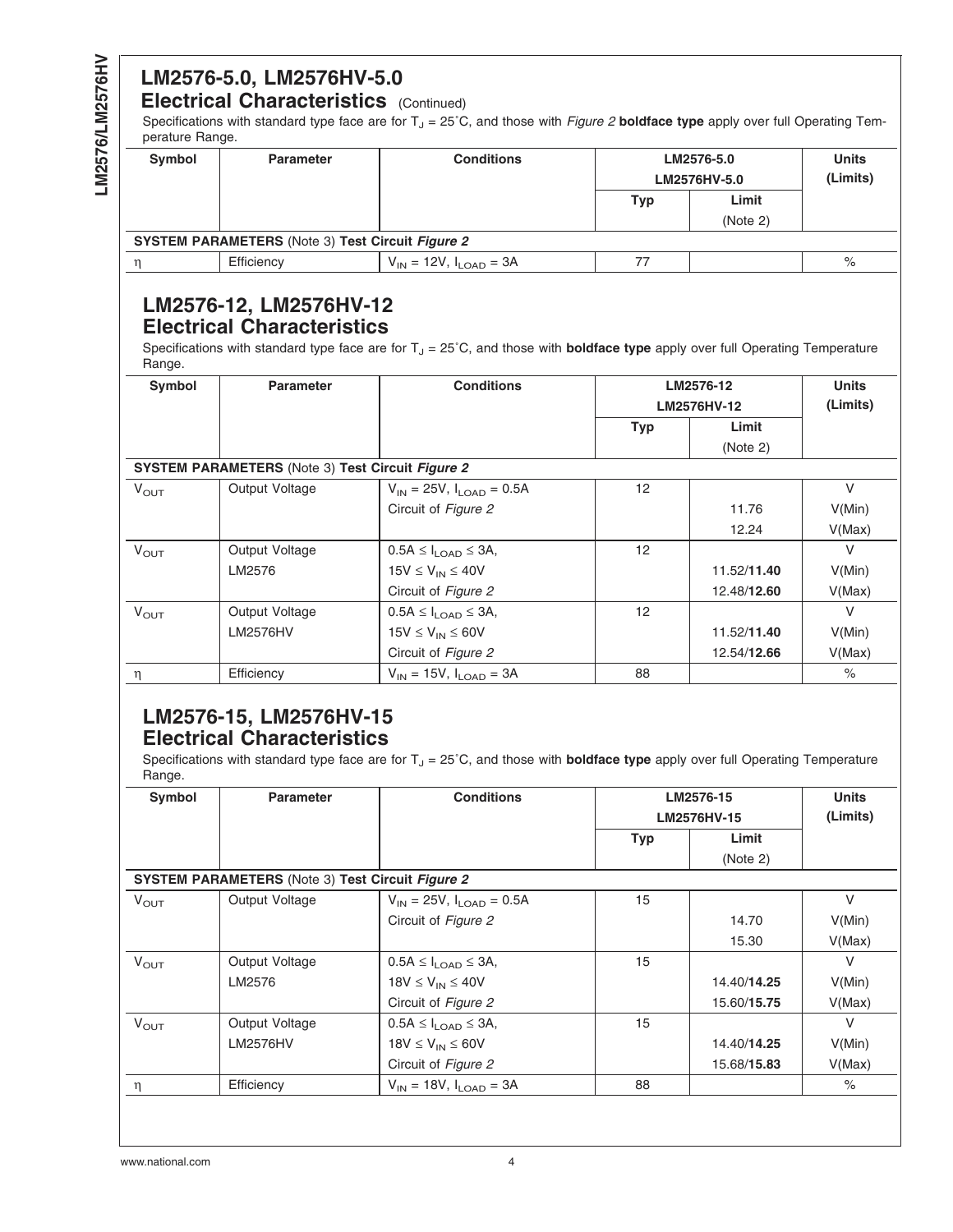# **LM2576-5.0, LM2576HV-5.0**

# **Electrical Characteristics** (Continued)

Specifications with standard type face are for T<sub>J</sub> = 25°C, and those with *[Figure 2](#page-10-0)* boldface type apply over full Operating Temperature Range.

| Symbol                                                  | <b>Parameter</b> | <b>Conditions</b>               |     | LM2576-5.0<br>LM2576HV-5.0 | <b>Units</b><br>(Limits) |  |
|---------------------------------------------------------|------------------|---------------------------------|-----|----------------------------|--------------------------|--|
|                                                         |                  |                                 | Typ | Limit                      |                          |  |
|                                                         |                  |                                 |     | (Note 2)                   |                          |  |
| <b>SYSTEM PARAMETERS</b> (Note 3) Test Circuit Figure 2 |                  |                                 |     |                            |                          |  |
|                                                         | Efficiency       | $V_{IN}$ = 12V, $I_{LOAD}$ = 3A |     |                            | %                        |  |

# **LM2576-12, LM2576HV-12 Electrical Characteristics**

Specifications with standard type face are for T<sub>J</sub> = 25°C, and those with **boldface type** apply over full Operating Temperature Range.

| Symbol                                                  | <b>Parameter</b> | <b>Conditions</b>                           |            | LM2576-12<br>LM2576HV-12 | <b>Units</b><br>(Limits) |
|---------------------------------------------------------|------------------|---------------------------------------------|------------|--------------------------|--------------------------|
|                                                         |                  |                                             | <b>Typ</b> | Limit                    |                          |
|                                                         |                  |                                             |            | (Note 2)                 |                          |
| <b>SYSTEM PARAMETERS</b> (Note 3) Test Circuit Figure 2 |                  |                                             |            |                          |                          |
| $V_{\text{OUT}}$                                        | Output Voltage   | $V_{IN}$ = 25V, $I_{LOAD}$ = 0.5A           | 12         |                          | $\vee$                   |
|                                                         |                  | Circuit of Figure 2                         |            | 11.76                    | V(Min)                   |
|                                                         |                  |                                             |            | 12.24                    | V(Max)                   |
| $V_{\text{OUT}}$                                        | Output Voltage   | $0.5A \leq I_{\text{LOAD}} \leq 3A$ ,       | 12         |                          | V                        |
|                                                         | LM2576           | $15V \leq V_{IN} \leq 40V$                  |            | 11.52/11.40              | V(Min)                   |
|                                                         |                  | Circuit of Figure 2                         |            | 12.48/12.60              | V(Max)                   |
| $V_{\text{OUT}}$                                        | Output Voltage   | $0.5A \leq I_{1.0AD} \leq 3A$               | 12         |                          | $\vee$                   |
|                                                         | <b>LM2576HV</b>  | $15V \leq V_{IN} \leq 60V$                  |            | 11.52/11.40              | V(Min)                   |
|                                                         |                  | Circuit of Figure 2                         |            | 12.54/12.66              | V(Max)                   |
| η                                                       | Efficiency       | $V_{\text{IN}} = 15V, I_{\text{LOAD}} = 3A$ | 88         |                          | $\%$                     |

# **LM2576-15, LM2576HV-15 Electrical Characteristics**

Specifications with standard type face are for  $T_J = 25^\circ C$ , and those with **boldface type** apply over full Operating Temperature Range.

| Symbol           | <b>Parameter</b>                                        | <b>Conditions</b>                               |            | LM2576-15                                                                                       | <b>Units</b><br>(Limits) |
|------------------|---------------------------------------------------------|-------------------------------------------------|------------|-------------------------------------------------------------------------------------------------|--------------------------|
|                  |                                                         |                                                 | <b>Typ</b> | LM2576HV-15<br>Limit<br>(Note 2)<br>14.70<br>15.30<br>14.40/14.25<br>15.60/15.75<br>14.40/14.25 |                          |
|                  |                                                         |                                                 |            |                                                                                                 |                          |
|                  | <b>SYSTEM PARAMETERS</b> (Note 3) Test Circuit Figure 2 |                                                 |            |                                                                                                 |                          |
| $V_{\text{OUT}}$ | Output Voltage                                          | $V_{\text{IN}}$ = 25V, $I_{\text{LOAD}}$ = 0.5A | 15         |                                                                                                 | $\vee$                   |
|                  |                                                         | Circuit of Figure 2                             |            |                                                                                                 | V(Min)                   |
|                  |                                                         |                                                 |            |                                                                                                 | V(Max)                   |
| $V_{OUT}$        | Output Voltage                                          | $0.5A \leq I_{\text{LOAD}} \leq 3A,$            | 15         |                                                                                                 | V                        |
|                  | LM2576                                                  | $18V \leq V_{IN} \leq 40V$                      |            |                                                                                                 | V(Min)                   |
|                  |                                                         | Circuit of Figure 2                             |            |                                                                                                 | V(Max)                   |
| $V_{\text{OUT}}$ | Output Voltage                                          | $0.5A \leq I_{\text{LOAD}} \leq 3A,$            | 15         |                                                                                                 | V                        |
|                  | <b>LM2576HV</b>                                         | $18V \leq V_{IN} \leq 60V$                      |            |                                                                                                 | V(Min)                   |
|                  |                                                         | Circuit of Figure 2                             |            | 15.68/15.83                                                                                     | V(Max)                   |
| $\eta$           | Efficiency                                              | $V_{IN}$ = 18V, $I_{LOAD}$ = 3A                 | 88         |                                                                                                 | $\%$                     |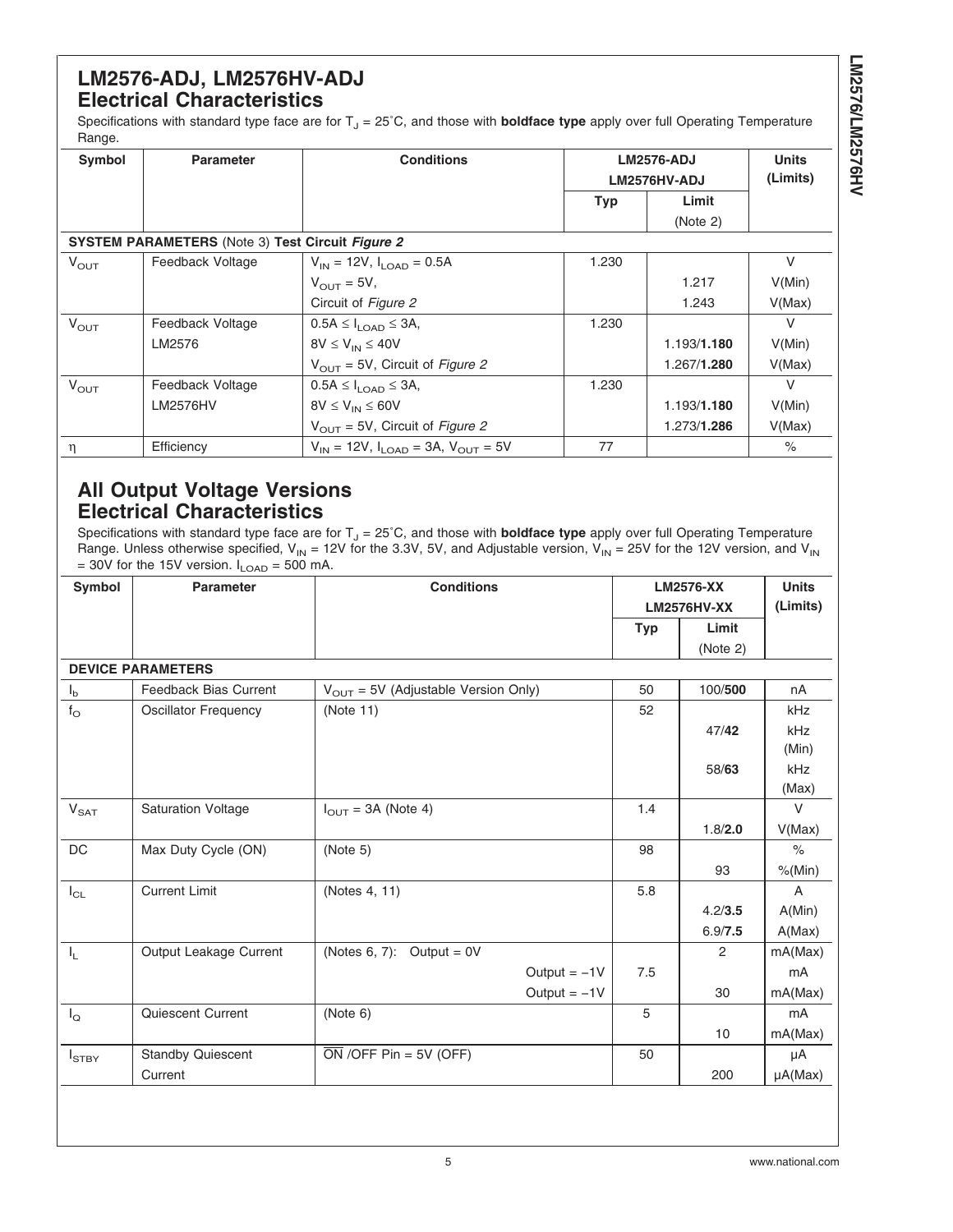# **LM2576-ADJ, LM2576HV-ADJ Electrical Characteristics**

Specifications with standard type face are for T<sub>J</sub> = 25°C, and those with **boldface type** apply over full Operating Temperature Range.

| Symbol                                                  | <b>Parameter</b> | <b>Conditions</b>                               |            | <b>LM2576-ADJ</b>   |          |  |
|---------------------------------------------------------|------------------|-------------------------------------------------|------------|---------------------|----------|--|
|                                                         |                  |                                                 |            | LM2576HV-ADJ        | (Limits) |  |
|                                                         |                  |                                                 | <b>Typ</b> | Limit               |          |  |
|                                                         |                  |                                                 |            | (Note 2)            |          |  |
| <b>SYSTEM PARAMETERS</b> (Note 3) Test Circuit Figure 2 |                  |                                                 |            |                     |          |  |
| $V_{\text{OUT}}$                                        | Feedback Voltage | $V_{\text{IN}}$ = 12V, $I_{\text{LOAD}}$ = 0.5A | 1.230      |                     | V        |  |
|                                                         |                  | $V_{\text{OUT}} = 5V$ ,                         |            | 1.217               | V(Min)   |  |
|                                                         |                  | Circuit of Figure 2                             |            | 1.243               | V(Max)   |  |
| $V_{\text{OUT}}$                                        | Feedback Voltage | $0.5A \leq I_{\text{LOAD}} \leq 3A,$            | 1.230      |                     | $\vee$   |  |
|                                                         | LM2576           | $8V \leq V_{IN} \leq 40V$                       |            | 1.193/1.180         | V(Min)   |  |
|                                                         |                  | $V_{\text{OUT}}$ = 5V, Circuit of Figure 2      |            | 1.267/1.280         | V(Max)   |  |
| $V_{\text{OUT}}$                                        | Feedback Voltage | $0.5A \leq I_{1OAD} \leq 3A$ ,                  | 1.230      |                     | V        |  |
|                                                         | <b>LM2576HV</b>  | $8V \leq V_{IN} \leq 60V$                       |            | 1.193/1.180         | V(Min)   |  |
|                                                         |                  | $V_{\text{OUT}}$ = 5V, Circuit of Figure 2      |            | 1.273/ <b>1.286</b> | V(Max)   |  |
| n                                                       | Efficiency       | $V_{IN}$ = 12V, $I_{IOP}$ = 3A, $V_{OUT}$ = 5V  | 77         |                     | $\%$     |  |

# **All Output Voltage Versions Electrical Characteristics**

Specifications with standard type face are for T<sub>J</sub> = 25°C, and those with **boldface type** apply over full Operating Temperature Range. Unless otherwise specified,  $V_{IN}$  = 12V for the 3.3V, 5V, and Adjustable version,  $V_{IN}$  = 25V for the 12V version, and  $V_{IN}$  $= 30V$  for the 15V version.  $I_{\text{LOAD}} = 500$  mA.

| Symbol                  | <b>Parameter</b>            | <b>Conditions</b><br><b>LM2576-XX</b><br><b>LM2576HV-XX</b> |            |                | <b>Units</b><br>(Limits) |
|-------------------------|-----------------------------|-------------------------------------------------------------|------------|----------------|--------------------------|
|                         |                             |                                                             | <b>Typ</b> | Limit          |                          |
|                         |                             |                                                             |            | (Note 2)       |                          |
|                         | <b>DEVICE PARAMETERS</b>    |                                                             |            |                |                          |
| $I_{b}$                 | Feedback Bias Current       | $V_{OUT} = 5V$ (Adjustable Version Only)                    | 50         | 100/500        | nA                       |
| $f_{\rm O}$             | <b>Oscillator Frequency</b> | (Note 11)                                                   | 52         |                | kHz                      |
|                         |                             |                                                             |            | 47/42          | kHz                      |
|                         |                             |                                                             |            |                | (Min)                    |
|                         |                             |                                                             |            | 58/63          | kHz                      |
|                         |                             |                                                             |            |                | (Max)                    |
| $V_{\text{SAT}}$        | <b>Saturation Voltage</b>   | $I_{\text{OUT}}$ = 3A (Note 4)                              | 1.4        |                | $\vee$                   |
|                         |                             |                                                             |            | 1.8/2.0        | V(Max)                   |
| DC                      | Max Duty Cycle (ON)         | (Note 5)                                                    | 98         |                | $\%$                     |
|                         |                             |                                                             |            | 93             | % (Min)                  |
| $I_{CL}$                | <b>Current Limit</b>        | (Notes 4, 11)                                               | 5.8        |                | $\overline{A}$           |
|                         |                             |                                                             |            | 4.2/3.5        | A(Min)                   |
|                         |                             |                                                             |            | 6.9/7.5        | A(Max)                   |
| $\mathsf{I}_\mathsf{L}$ | Output Leakage Current      | (Notes 6, 7): Output = $0V$                                 |            | $\overline{2}$ | mA(Max)                  |
|                         |                             | Output $= -1V$                                              | 7.5        |                | mA                       |
|                         |                             | Output $= -1V$                                              |            | 30             | mA(Max)                  |
| $I_{\mathsf{Q}}$        | Quiescent Current           | (Note 6)                                                    | 5          |                | m <sub>A</sub>           |
|                         |                             |                                                             |            | 10             | mA(Max)                  |
| $I_{STBY}$              | <b>Standby Quiescent</b>    | $\overline{ON}$ /OFF Pin = 5V (OFF)                         | 50         |                | μA                       |
|                         | Current                     |                                                             |            | 200            | $\mu A(Max)$             |
|                         |                             |                                                             |            |                |                          |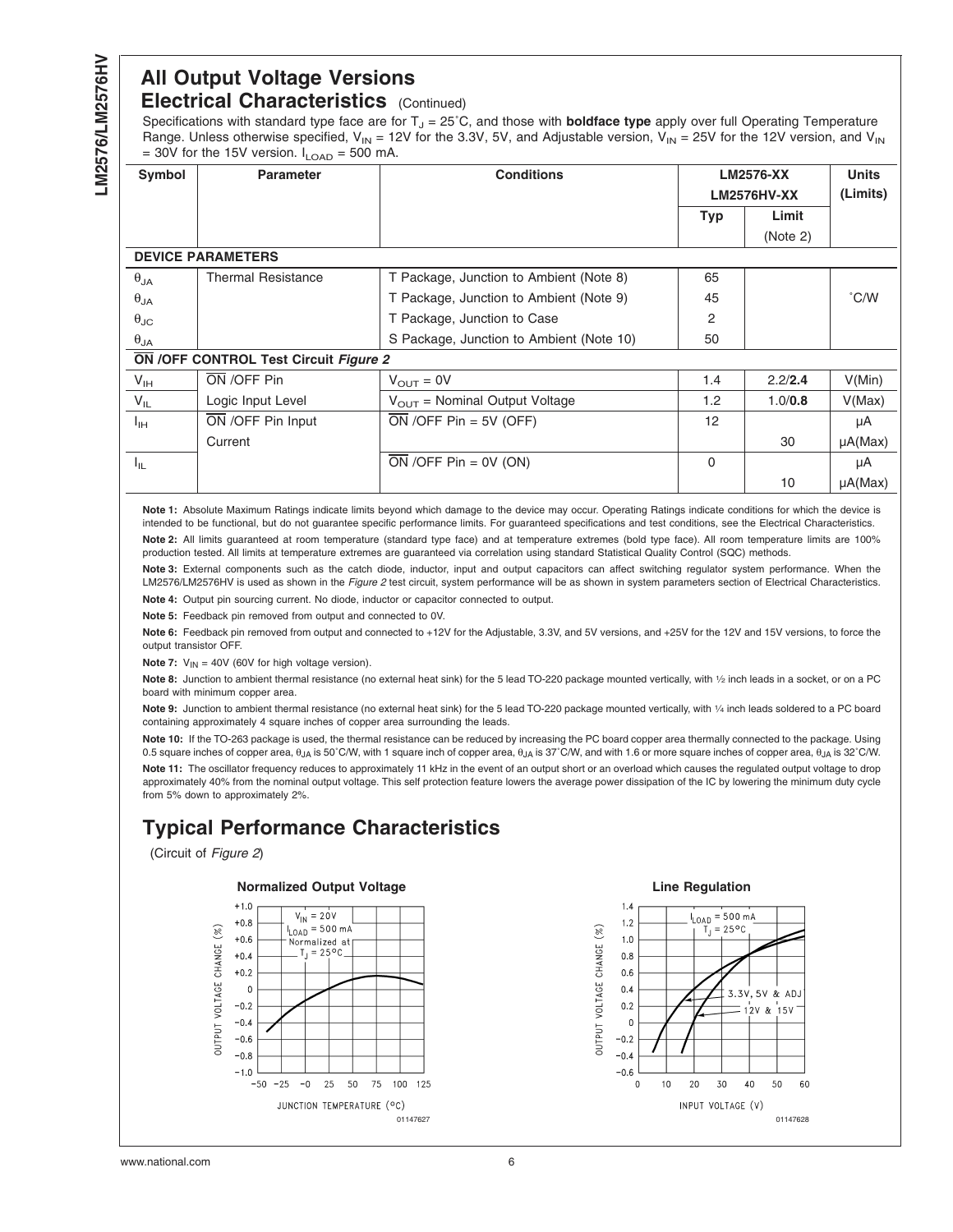# <span id="page-6-0"></span>**All Output Voltage Versions Electrical Characteristics** (Continued)

Specifications with standard type face are for T<sub>J</sub> = 25°C, and those with **boldface type** apply over full Operating Temperature Range. Unless otherwise specified,  $V_{IN}$  = 12V for the 3.3V, 5V, and Adjustable version,  $V_{IN}$  = 25V for the 12V version, and V<sub>IN</sub>  $= 30V$  for the 15V version.  $I_{\text{QAD}} = 500 \text{ mA}$ 

| Symbol               | <b>Conditions</b><br><b>Parameter</b>        |                                           | <b>LM2576-XX</b><br><b>LM2576HV-XX</b> |          | <b>Units</b><br>(Limits) |
|----------------------|----------------------------------------------|-------------------------------------------|----------------------------------------|----------|--------------------------|
|                      |                                              |                                           | <b>Typ</b>                             | Limit    |                          |
|                      |                                              |                                           |                                        | (Note 2) |                          |
|                      | <b>DEVICE PARAMETERS</b>                     |                                           |                                        |          |                          |
| $\theta_{JA}$        | <b>Thermal Resistance</b>                    | T Package, Junction to Ambient (Note 8)   | 65                                     |          |                          |
| $\theta_{JA}$        |                                              | T Package, Junction to Ambient (Note 9)   | 45                                     |          | $\degree$ C/W            |
| $\theta_{\text{JC}}$ |                                              | T Package, Junction to Case               | 2                                      |          |                          |
| $\theta_{JA}$        |                                              | S Package, Junction to Ambient (Note 10)  | 50                                     |          |                          |
|                      | <b>ON /OFF CONTROL Test Circuit Figure 2</b> |                                           |                                        |          |                          |
| $V_{IH}$             | ON /OFF Pin                                  | $V_{\text{OUT}} = 0V$                     | 1.4                                    | 2.2/2.4  | V(Min)                   |
| $V_{IL}$             | Logic Input Level                            | $V_{\text{OUT}}$ = Nominal Output Voltage | 1.2                                    | 1.0/0.8  | V(Max)                   |
| $I_{\rm IH}$         | ON /OFF Pin Input                            | ON / OFF $Pin = 5V$ (OFF)                 | 12                                     |          | μA                       |
|                      | Current                                      |                                           |                                        | 30       | $\mu A(Max)$             |
| $I_{1L}$             |                                              | $\overline{ON}$ /OFF Pin = 0V (ON)        | $\Omega$                               |          | μA                       |
|                      |                                              |                                           |                                        | 10       | $\mu A(Max)$             |

**Note 1:** Absolute Maximum Ratings indicate limits beyond which damage to the device may occur. Operating Ratings indicate conditions for which the device is intended to be functional, but do not guarantee specific performance limits. For guaranteed specifications and test conditions, see the Electrical Characteristics.

Note 2: All limits guaranteed at room temperature (standard type face) and at temperature extremes (bold type face). All room temperature limits are 100% production tested. All limits at temperature extremes are guaranteed via correlation using standard Statistical Quality Control (SQC) methods.

**Note 3:** External components such as the catch diode, inductor, input and output capacitors can affect switching regulator system performance. When the LM2576/LM2576HV is used as shown in the *[Figure 2](#page-10-0)* test circuit, system performance will be as shown in system parameters section of Electrical Characteristics. **Note 4:** Output pin sourcing current. No diode, inductor or capacitor connected to output.

**Note 5:** Feedback pin removed from output and connected to 0V.

**Note 6:** Feedback pin removed from output and connected to +12V for the Adjustable, 3.3V, and 5V versions, and +25V for the 12V and 15V versions, to force the output transistor OFF.

**Note 7:**  $V_{IN} = 40V$  (60V for high voltage version).

**Note 8:** Junction to ambient thermal resistance (no external heat sink) for the 5 lead TO-220 package mounted vertically, with 1⁄2 inch leads in a socket, or on a PC board with minimum copper area.

**Note 9:** Junction to ambient thermal resistance (no external heat sink) for the 5 lead TO-220 package mounted vertically, with 1⁄4 inch leads soldered to a PC board containing approximately 4 square inches of copper area surrounding the leads.

**Note 10:** If the TO-263 package is used, the thermal resistance can be reduced by increasing the PC board copper area thermally connected to the package. Using 0.5 square inches of copper area, θ<sub>JA</sub> is 50°C/W, with 1 square inch of copper area, θ<sub>JA</sub> is 37°C/W, and with 1.6 or more square inches of copper area, θ<sub>JA</sub> is 32°C/W. **Note 11:** The oscillator frequency reduces to approximately 11 kHz in the event of an output short or an overload which causes the regulated output voltage to drop approximately 40% from the nominal output voltage. This self protection feature lowers the average power dissipation of the IC by lowering the minimum duty cycle from 5% down to approximately 2%.

# **Typical Performance Characteristics**

(Circuit of *[Figure 2](#page-10-0)*)





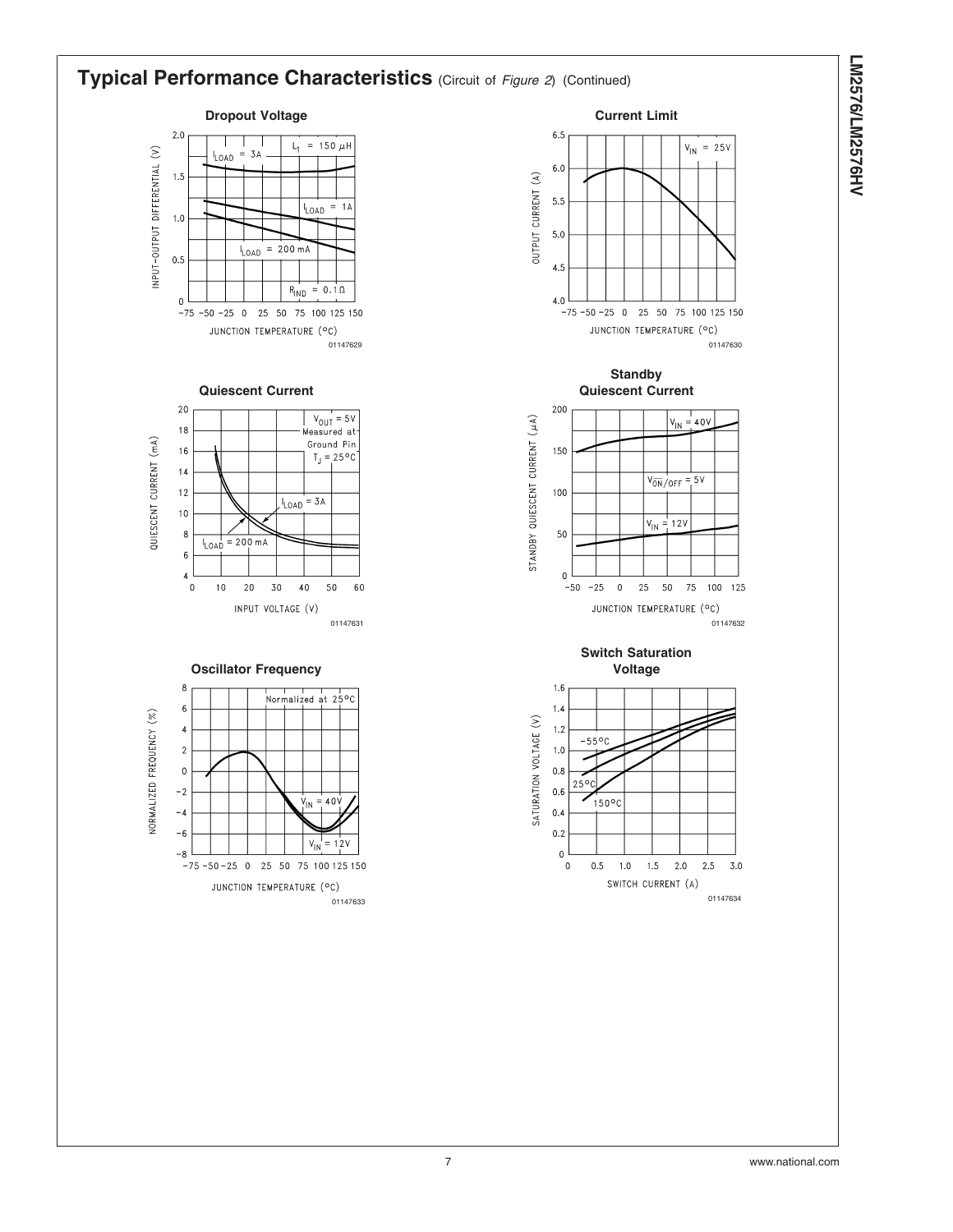LM2576/LM2576HV **LM2576/LM2576HV**

#### **Typical Performance Characteristics** (Circuit of *[Figure 2](#page-10-0)*) (Continued) **Dropout Voltage Current Limit**  $2.0$  $6.5$  $L_1 = 150 \mu H$  $V_{\text{IN}}$  = 25V INPUT-OUTPUT DIFFERENTIAL (V)  $= 3A$ LOAD  $6.0\,$  $1.5$ OUTPUT CURRENT (A) 5.5  $= 1A$ LOAD  $1.0$ 5.0  $= 200 \text{ mA}$ LOAD  $0.5$  $4.5$  $= 0.1 \Omega$  $R_{IND}$  $\mathbf 0$ 4.0  $-75 - 50 - 25$  0 25 50 75 100 125 150  $-75 - 50 - 25$  0 25 50 75 100 125 150 JUNCTION TEMPERATURE (°C) JUNCTION TEMPERATURE (°C) 01147629 01147630 **Standby Quiescent Current Quiescent Current**  $20$ 200  $\begin{array}{c} V_{\text{OUT}} = 5V \\ \text{Measured at} \end{array}$ STANDBY QUIESCENT CURRENT (µA)  $V_{\text{IN}} = 40V$ 18 QUIESCENT CURRENT (mA) Ground Pin  $16$ 150  $T_J = 25^{\circ}C$  $14$  $V_{\overline{ON}}/_{\overline{OFF}} = 5V$  $12$  $100\,$  $I_{LOAD}$  = 3A  $10$  $V_{IN} = 12V$  $\bf8$ 50  $I_{\text{LOAD}}$  = 200 mA  $\sqrt{6}$  $\overline{4}$  $\mathbf 0$  $\mathbf 0$  $10$  $2\,0$ 30 40 50 60  $-50$  $-25$  $\pmb{0}$ 25 50 75 100 125 INPUT VOLTAGE (V) JUNCTION TEMPERATURE (°C) 01147631 01147632 **Switch Saturation Oscillator Frequency Voltage** 8  $1.6$ Normalized at 25°C 6  $1.4$ NORMALIZED FREQUENCY (%) SATURATION VOLTAGE (V)  $1.2$  $\overline{4}$  $-55^{\circ}$ C  $\overline{\mathbf{c}}$  $1.0$  $0.8$  $\circ$  $25°$  $-2$  $0.6$  $40<sub>l</sub>$  $150^{\circ}$ C  $-4$  $0.4$  $-6$  $0.2$  $V_{\parallel N}$  $= 12V$  $\pmb{0}$  $-8$  $-75 - 50 - 25$  0 25 50 75 100 125 150  $\mathbf{0}$  $0.5\,$  $1.0\,$  $1.5\,$  $2.0\,$  $2.5\,$  $3.0$ SWITCH CURRENT (A) JUNCTION TEMPERATURE (°C) <sup>01147633</sup> <sup>01147634</sup>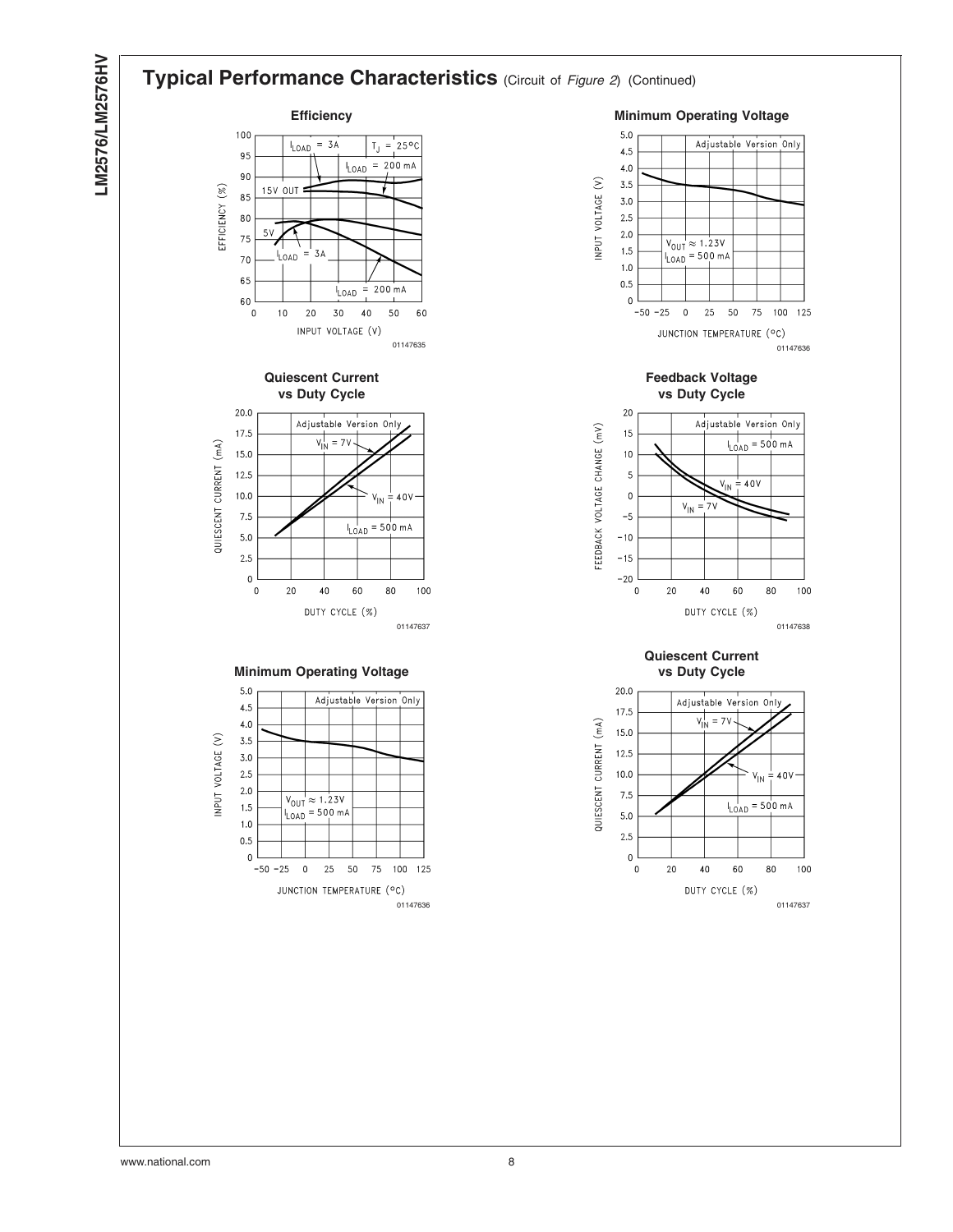# LM2576/LM2576HV **LM2576/LM2576HV**

#### **Typical Performance Characteristics** (Circuit of *[Figure 2](#page-10-0)*) (Continued) **Efficiency Minimum Operating Voltage** 100  $I_{LOAD}$  = 3A  $T_J = 25^{\circ}C$ 95  $= 200 \text{ mA}$ LOAD 90 15V OUT EFFICIENCY (%) 85 80  $5V$ 75 3A li oan.  $70$ 65 200 mA LOAD  $\equiv$ 60  $\pmb{0}$  $10$  $2\,0$ 30  $40$ 50 60 INPUT VOLTAGE (V) **Quiescent Current vs Duty Cycle** 20.0 Adjustable Version Only 17.5  $V_{IN}^{\dagger} = 7V$ QUIESCENT CURRENT (mA) 15.0 12.5  $10.0$ 40V ٧ın 7.5  $I_{\text{LOAD}} = 500 \text{ mA}$  $5.0$  $2.5$  $\pmb{0}$  $\pmb{0}$  $20$  $40\,$ 60 80 100 DUTY CYCLE (%) **Minimum Operating Voltage**  $5.0$ Adjustable Version Only  $4.5$  $4.0$ INPUT VOLTAGE (V)  $3.5$  $3.0$ 2.5  $2.0$  $V_{\text{OUT}} \approx 1.23V$ 1.5  $I_{\text{LOAD}}$  = 500 mA  $1.0$  $0.5$  $\Omega$  $-50 - 25$  $\,$  0 25 50 75 100 125 JUNCTION TEMPERATURE (°C)





01147636 01147637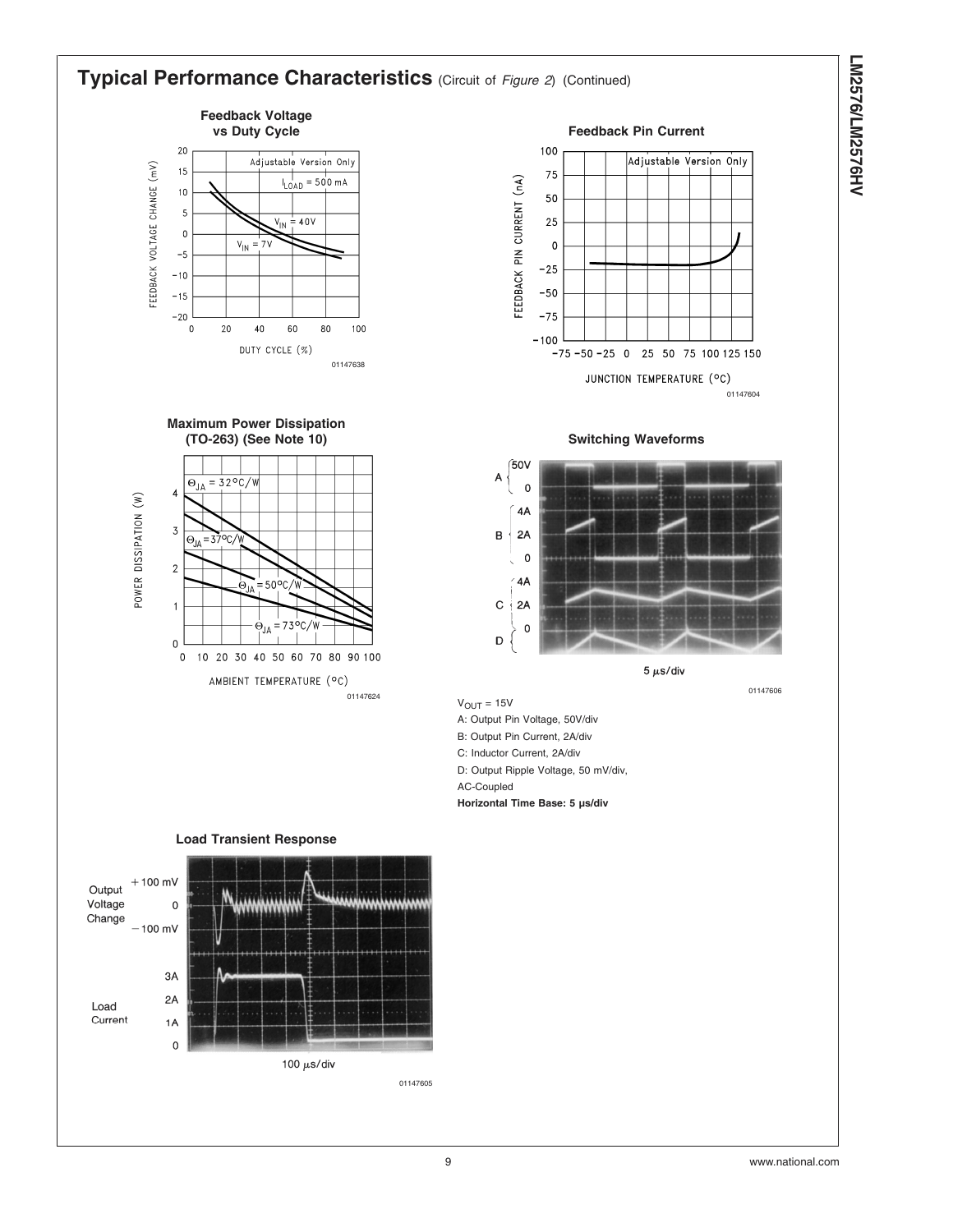#### **Typical Performance Characteristics** (Circuit of *[Figure 2](#page-10-0)*) (Continued) **Feedback Voltage** vs Duty Cycle **Feedback Pin Current** 20 100 Adjustable Version Only Adjustable Version Only FEEDBACK VOLTAGE CHANGE (mV) 15 75  $I_{LOAD} = 500 \text{ mA}$ FEEDBACK PIN CURRENT (nA)  $10$ 50 5  $V_{IN} = 40V$ 25  $\mathbf 0$  $V_{\parallel N}$ 7V  $\pmb{0}$  $-5$  $-25$  $-10$  $-50$  $-15$  $-75$  $-20$  $\pmb{0}$  $20$  $40$ 60 80 100  $-100$ DUTY CYCLE (%)  $-75 - 50 - 25$  0 25 50 75 100 125 150 01147638 JUNCTION TEMPERATURE (°C) 01147604 **Maximum Power Dissipation (TO-263) (See Note 10) Switching Waveforms** (50V A  $\Theta_{JA} = 32^{\circ}C/W$  $\mathbf 0$  $\overline{\mathbf{4}}$ POWER DISSIPATION (W)  $\Delta$ A  $\overline{3}$  $2A$  $\, {\bf B}$  $\Theta_{\text{JA}}$ ، ٻ  $\mathsf{o}$  $\overline{2}$ 4A  $=50^{\circ}$ C o<sub>ia</sub>  $\mathbf C$ 2A  $\overline{1}$  $\dot{\Theta}_{JA} = 73\degree C/W$  $\mathbf 0$  $\mathsf D$  $\pmb{0}$ 0 10 20 30 40 50 60 70 80 90 100  $5 \mu s$ /div AMBIENT TEMPERATURE (°C) <sup>01147624</sup> <sup>01147606</sup>  $V_{\text{OUT}} = 15V$ A: Output Pin Voltage, 50V/div B: Output Pin Current, 2A/div C: Inductor Current, 2A/div D: Output Ripple Voltage, 50 mV/div, AC-Coupled **Horizontal Time Base: 5 µs/div Load Transient Response**  $+100$  mV Output Voltage  $\mathsf 0$ Change  $-100$  mV

100  $\mu$ s/div 01147605

3A  $2A$ 

1A  $\mathbf 0$ 

Load Current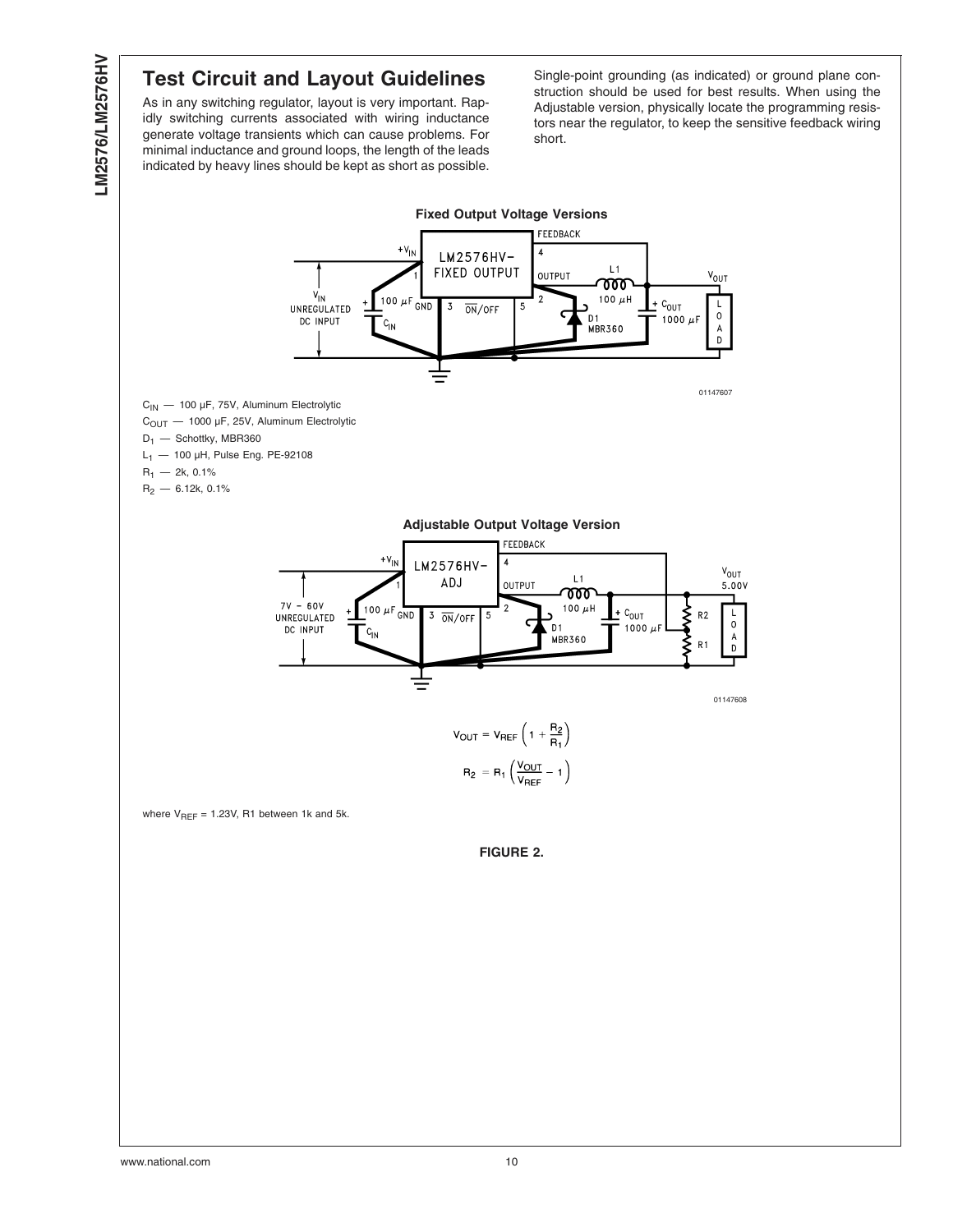# <span id="page-10-0"></span>**Test Circuit and Layout Guidelines**

As in any switching regulator, layout is very important. Rapidly switching currents associated with wiring inductance generate voltage transients which can cause problems. For minimal inductance and ground loops, the length of the leads indicated by heavy lines should be kept as short as possible.

Single-point grounding (as indicated) or ground plane construction should be used for best results. When using the Adjustable version, physically locate the programming resistors near the regulator, to keep the sensitive feedback wiring short.

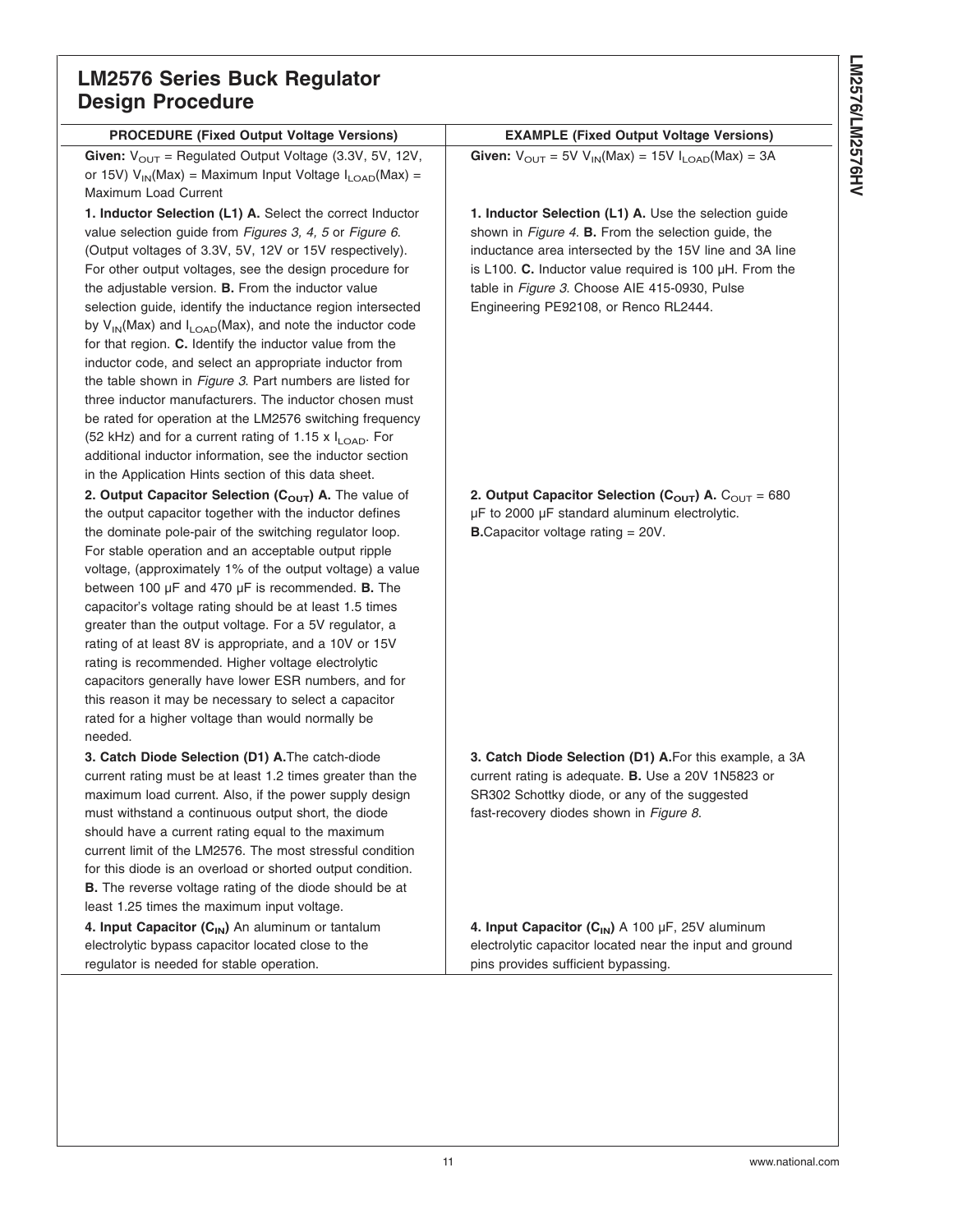# **LM2576 Series Buck Regulator Design Procedure**

| <b>PROCEDURE (Fixed Output Voltage Versions)</b>                                                                  | <b>EXAMPLE (Fixed Output Voltage Versions)</b>                               |
|-------------------------------------------------------------------------------------------------------------------|------------------------------------------------------------------------------|
| Given: $V_{OUT}$ = Regulated Output Voltage (3.3V, 5V, 12V,                                                       | Given: $V_{OUT} = 5V V_{IN}(Max) = 15V I_{LOAD}(Max) = 3A$                   |
| or 15V) $V_{IN}(Max)$ = Maximum Input Voltage $I_{LOAD}(Max)$ =                                                   |                                                                              |
| Maximum Load Current                                                                                              |                                                                              |
| 1. Inductor Selection (L1) A. Select the correct Inductor                                                         | 1. Inductor Selection (L1) A. Use the selection guide                        |
| value selection guide from Figures 3, 4, 5 or Figure 6.                                                           | shown in Figure 4. B. From the selection guide, the                          |
| (Output voltages of 3.3V, 5V, 12V or 15V respectively).                                                           | inductance area intersected by the 15V line and 3A line                      |
| For other output voltages, see the design procedure for                                                           | is L100. C. Inductor value required is 100 $\mu$ H. From the                 |
| the adjustable version. B. From the inductor value                                                                | table in Figure 3. Choose AIE 415-0930, Pulse                                |
| selection guide, identify the inductance region intersected                                                       | Engineering PE92108, or Renco RL2444.                                        |
| by $V_{IN}(Max)$ and $I_{LOAD}(Max)$ , and note the inductor code                                                 |                                                                              |
| for that region. C. Identify the inductor value from the                                                          |                                                                              |
| inductor code, and select an appropriate inductor from                                                            |                                                                              |
| the table shown in <i>Figure 3</i> . Part numbers are listed for                                                  |                                                                              |
| three inductor manufacturers. The inductor chosen must                                                            |                                                                              |
| be rated for operation at the LM2576 switching frequency                                                          |                                                                              |
| (52 kHz) and for a current rating of 1.15 x I <sub>LOAD</sub> . For                                               |                                                                              |
| additional inductor information, see the inductor section                                                         |                                                                              |
| in the Application Hints section of this data sheet.                                                              |                                                                              |
| 2. Output Capacitor Selection (C <sub>OUT</sub> ) A. The value of                                                 | 2. Output Capacitor Selection ( $C_{\text{OUT}}$ ) A. $C_{\text{OUT}} = 680$ |
| the output capacitor together with the inductor defines                                                           | µF to 2000 µF standard aluminum electrolytic.                                |
| the dominate pole-pair of the switching regulator loop.                                                           | <b>B.</b> Capacitor voltage rating $= 20V$ .                                 |
| For stable operation and an acceptable output ripple                                                              |                                                                              |
| voltage, (approximately 1% of the output voltage) a value                                                         |                                                                              |
| between 100 $\mu$ F and 470 $\mu$ F is recommended. <b>B.</b> The                                                 |                                                                              |
| capacitor's voltage rating should be at least 1.5 times<br>greater than the output voltage. For a 5V regulator, a |                                                                              |
| rating of at least 8V is appropriate, and a 10V or 15V                                                            |                                                                              |
| rating is recommended. Higher voltage electrolytic                                                                |                                                                              |
| capacitors generally have lower ESR numbers, and for                                                              |                                                                              |
| this reason it may be necessary to select a capacitor                                                             |                                                                              |
| rated for a higher voltage than would normally be                                                                 |                                                                              |
| needed.                                                                                                           |                                                                              |
| 3. Catch Diode Selection (D1) A. The catch-diode                                                                  | 3. Catch Diode Selection (D1) A. For this example, a 3A                      |
| current rating must be at least 1.2 times greater than the                                                        | current rating is adequate. <b>B.</b> Use a 20V 1N5823 or                    |
| maximum load current. Also, if the power supply design                                                            | SR302 Schottky diode, or any of the suggested                                |
| must withstand a continuous output short, the diode                                                               | fast-recovery diodes shown in Figure 8.                                      |
| should have a current rating equal to the maximum                                                                 |                                                                              |
| current limit of the LM2576. The most stressful condition                                                         |                                                                              |
| for this diode is an overload or shorted output condition.                                                        |                                                                              |
| B. The reverse voltage rating of the diode should be at                                                           |                                                                              |
| least 1.25 times the maximum input voltage.                                                                       |                                                                              |
| 4. Input Capacitor (C <sub>IN</sub> ) An aluminum or tantalum                                                     | 4. Input Capacitor $(C_{IN})$ A 100 µF, 25V aluminum                         |
| electrolytic bypass capacitor located close to the                                                                | electrolytic capacitor located near the input and ground                     |
| regulator is needed for stable operation.                                                                         | pins provides sufficient bypassing.                                          |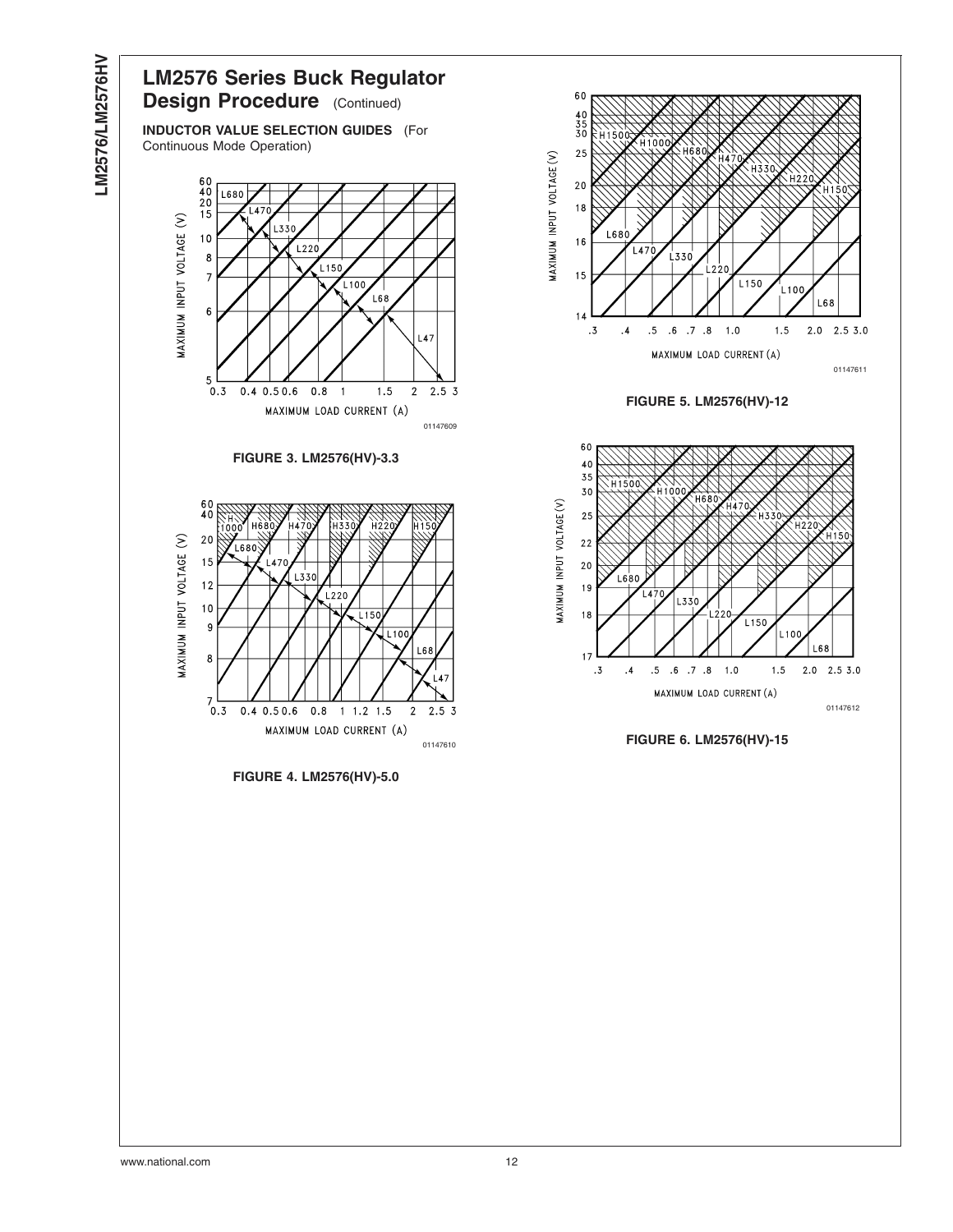<span id="page-12-0"></span>

01147611

 $L68$ 

 $2.0$  2.5 3.0

L150

 $L150$ 

 $L10$ 

 $1.5$ 

 $\frac{1}{2}$ 100

 $1.5$ 

01147612

 $2.53.0$ 

I 6.8

 $2.0$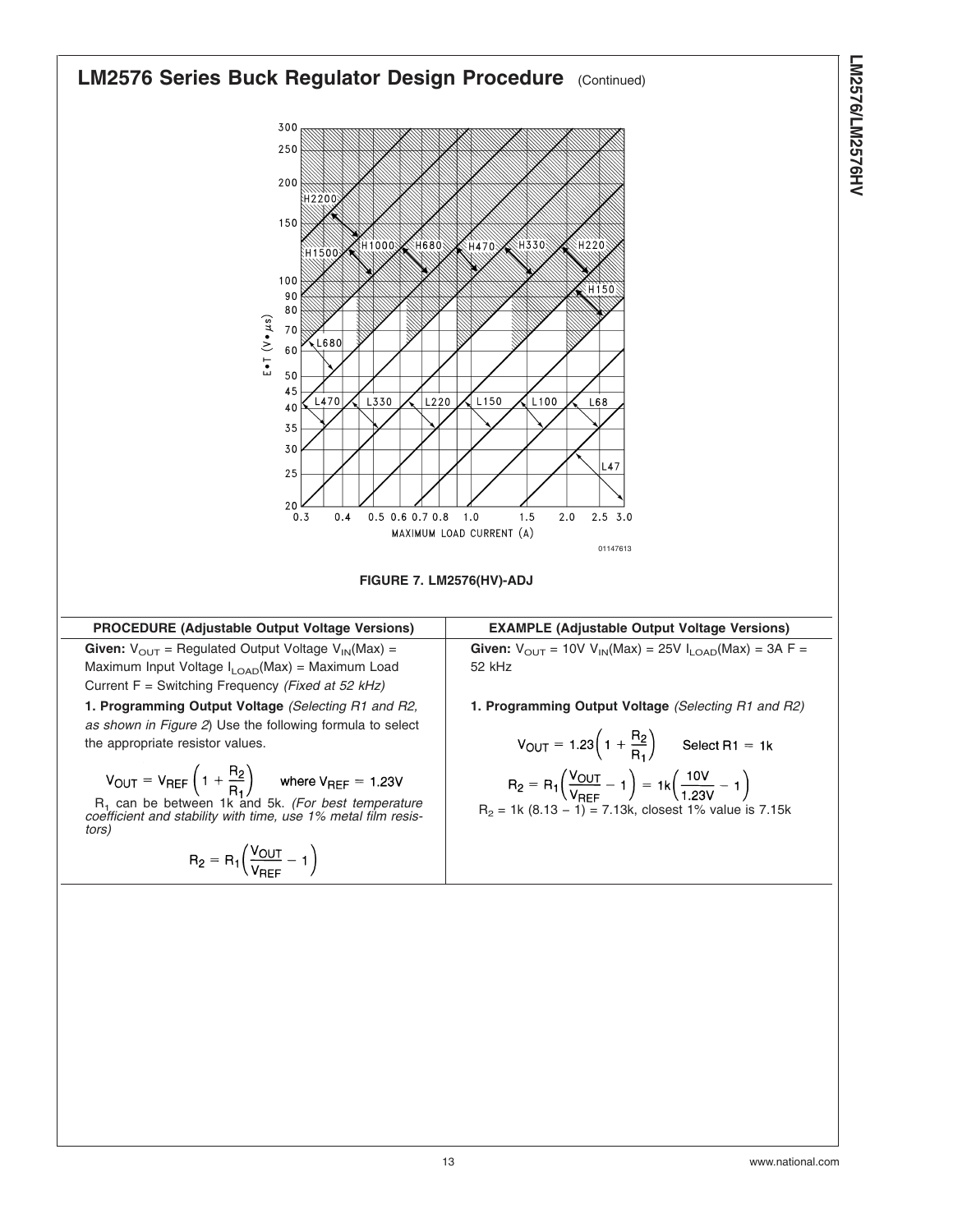<span id="page-13-0"></span>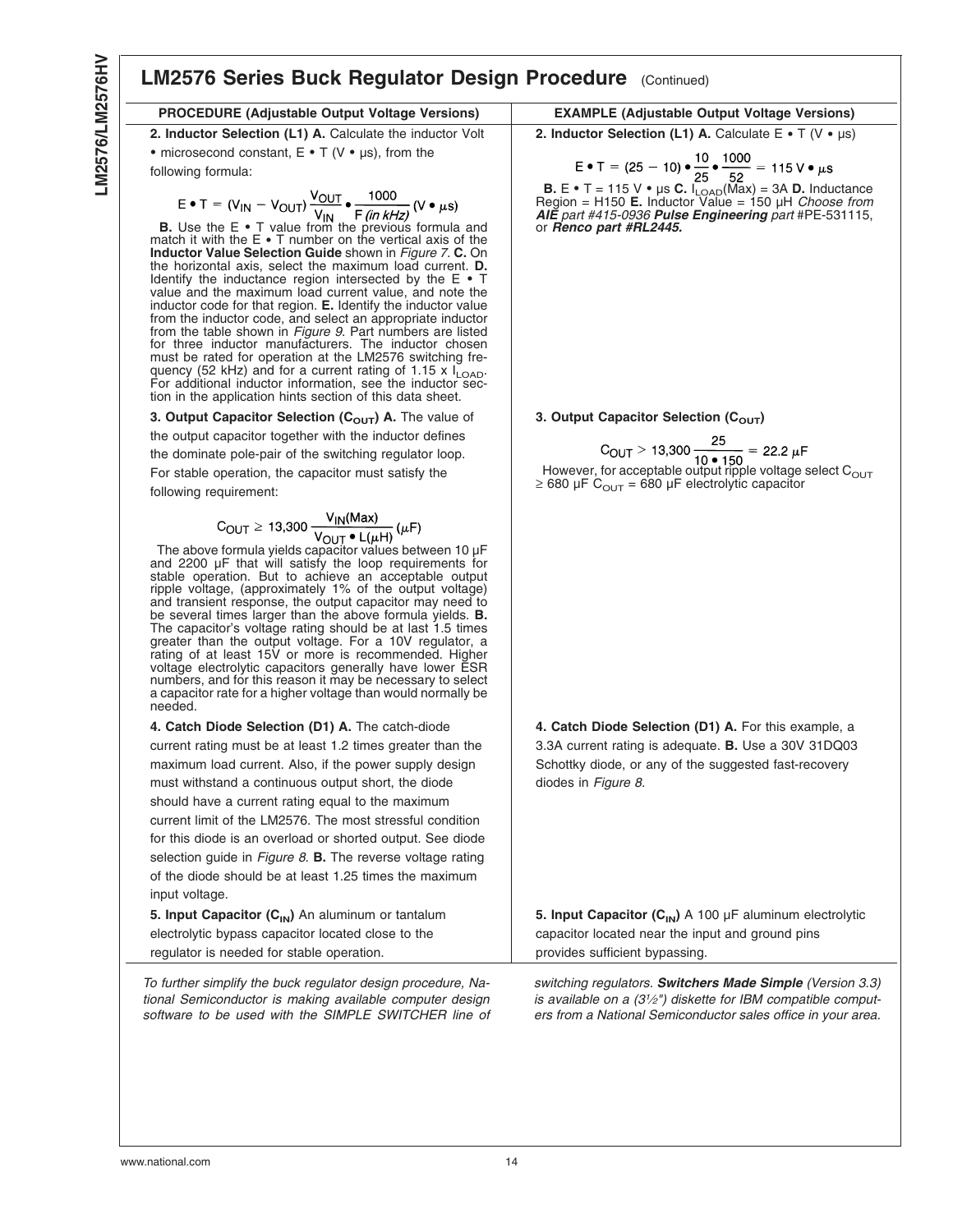#### **LM2576 Series Buck Regulator Design Procedure** (Continued) **PROCEDURE (Adjustable Output Voltage Versions) EXAMPLE (Adjustable Output Voltage Versions) 2. Inductor Selection (L1) A.** Calculate the inductor Volt • microsecond constant,  $E \cdot T$  (V •  $\mu s$ ), from the following formula: **B.** Use the E • T value from the previous formula and match it with the E • T number on the vertical axis of the **Inductor Value Selection Guide** shown in *[Figure 7](#page-13-0)*. **C.** On the horizontal axis, select the maximum load current. **D.** Identify the inductance region intersected by the  $E \cdot T$ value and the maximum load current value, and note the inductor code for that region. **E.** Identify the inductor value from the inductor code, and select an appropriate inductor from the table shown in *[Figure 9](#page-15-0)*. Part numbers are listed for three inductor manufacturers. The inductor chosen must be rated for operation at the LM2576 switching frequency (52 kHz) and for a current rating of 1.15 x  $I_{\text{LOAD}}$ . For additional inductor information, see the inductor section in the application hints section of this data sheet. **2. Inductor Selection (L1) A.** Calculate  $E \cdot T$  (V  $\cdot \mu s$ ) **B.** E • T = 115 V • µs **C.** I<sub>LOAD</sub>(Max) = 3A **D.** Inductance Region = H150 **E.** Inductor Value = 150 µH *Choose from AIE part #415-0936 Pulse Engineering part* #PE-531115, or *Renco part #RL2445.* 3. Output Capacitor Selection (C<sub>OUT</sub>) A. The value of the output capacitor together with the inductor defines the dominate pole-pair of the switching regulator loop. For stable operation, the capacitor must satisfy the following requirement:  $C_{\text{OUT}} \ge 13,300 \frac{V_{\text{IN}}(\text{Max})}{V_{\text{OUT}} \cdot L(\mu H)} (\mu F)$ <br>The above formula yields capacitor values between 10  $\mu F$ and 2200 µF that will satisfy the loop requirements for stable operation. But to achieve an acceptable output ripple voltage, (approximately 1% of the output voltage) and transient response, the output capacitor may need to be several times larger than the above formula yields. **B.** The capacitor's voltage rating should be at last 1.5 times greater than the output voltage. For a 10V regulator, a rating of at least 15V or more is recommended. Higher voltage electrolytic capacitors generally have lower ESR numbers, and for this reason it may be necessary to select a capacitor rate for a higher voltage than would normally be needed. 3. Output Capacitor Selection (C<sub>OUT</sub>) However, for acceptable output ripple voltage select  $C_{\text{OUT}}$ ≥ 680 µF C $_{\rm OUT}$  = 680 µF electrolytic capacitor **4. Catch Diode Selection (D1) A.** The catch-diode current rating must be at least 1.2 times greater than the maximum load current. Also, if the power supply design must withstand a continuous output short, the diode should have a current rating equal to the maximum current limit of the LM2576. The most stressful condition for this diode is an overload or shorted output. See diode selection guide in *[Figure 8](#page-15-0)*. **B.** The reverse voltage rating of the diode should be at least 1.25 times the maximum input voltage. **4. Catch Diode Selection (D1) A.** For this example, a 3.3A current rating is adequate. **B.** Use a 30V 31DQ03 Schottky diode, or any of the suggested fast-recovery diodes in *[Figure 8](#page-15-0)*. 5. Input Capacitor (C<sub>IN</sub>) An aluminum or tantalum electrolytic bypass capacitor located close to the regulator is needed for stable operation. 5. Input Capacitor (C<sub>IN</sub>) A 100 µF aluminum electrolytic capacitor located near the input and ground pins provides sufficient bypassing.

*To further simplify the buck regulator design procedure, National Semiconductor is making available computer design software to be used with the SIMPLE SWITCHER line of* *switching regulators. Switchers Made Simple (Version 3.3) is available on a (31⁄2") diskette for IBM compatible computers from a National Semiconductor sales office in your area.*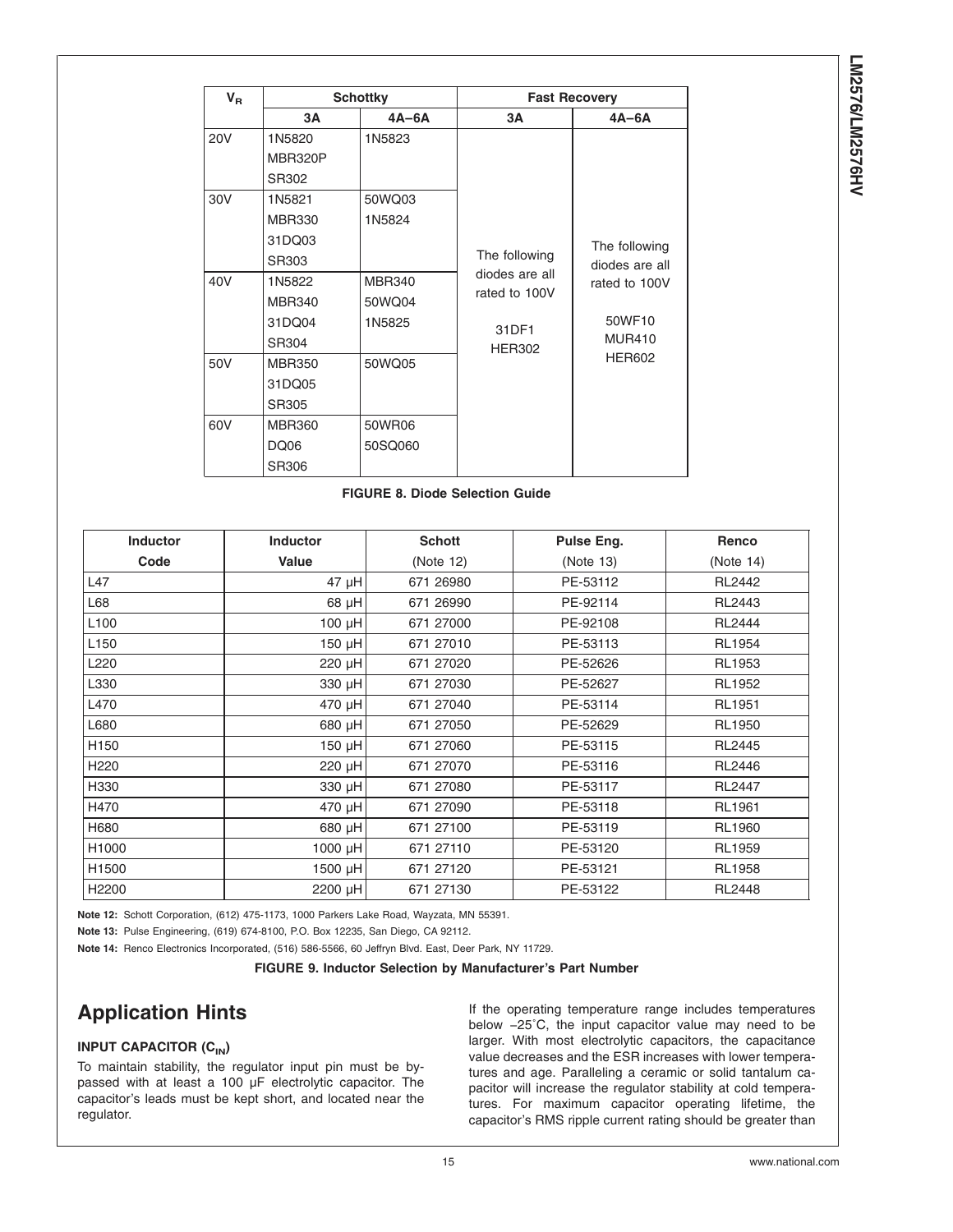LM2576/LM2576HV **LM2576/LM2576HV**

<span id="page-15-0"></span>

| $V_{R}$    | <b>Schottky</b> |               |                                                  | <b>Fast Recovery</b>                                                                         |  |  |
|------------|-----------------|---------------|--------------------------------------------------|----------------------------------------------------------------------------------------------|--|--|
|            | 3А              | $4A-6A$       | ЗΑ                                               | $4A-6A$                                                                                      |  |  |
| <b>20V</b> | 1N5820          | 1N5823        |                                                  |                                                                                              |  |  |
|            | MBR320P         |               |                                                  |                                                                                              |  |  |
|            | SR302           |               |                                                  |                                                                                              |  |  |
| 30V        | 1N5821          | 50WQ03        |                                                  | The following<br>diodes are all<br>rated to 100V<br>50WF10<br><b>MUR410</b><br><b>HER602</b> |  |  |
|            | <b>MBR330</b>   | 1N5824        |                                                  |                                                                                              |  |  |
|            | 31DQ03          |               |                                                  |                                                                                              |  |  |
|            | SR303           |               | The following<br>diodes are all<br>rated to 100V |                                                                                              |  |  |
| 40V        | 1N5822          | <b>MBR340</b> |                                                  |                                                                                              |  |  |
|            | <b>MBR340</b>   | 50WQ04        |                                                  |                                                                                              |  |  |
|            | 31DQ04          | 1N5825        | 31DF1                                            |                                                                                              |  |  |
|            | SR304           |               | <b>HER302</b>                                    |                                                                                              |  |  |
| 50V        | <b>MBR350</b>   | 50WQ05        |                                                  |                                                                                              |  |  |
|            | 31DQ05          |               |                                                  |                                                                                              |  |  |
|            | SR305           |               |                                                  |                                                                                              |  |  |
| 60V        | <b>MBR360</b>   | 50WR06        |                                                  |                                                                                              |  |  |
|            | DQ06            | 50SQ060       |                                                  |                                                                                              |  |  |
|            | SR306           |               |                                                  |                                                                                              |  |  |

**FIGURE 8. Diode Selection Guide**

| <b>Inductor</b>   | <b>Inductor</b> | <b>Schott</b> | Pulse Eng. | Renco         |
|-------------------|-----------------|---------------|------------|---------------|
| Code              | Value           | (Note 12)     | (Note 13)  | (Note 14)     |
| L47               | 47 µH           | 671 26980     | PE-53112   | RL2442        |
| L68               | 68 µH           | 671 26990     | PE-92114   | RL2443        |
| L <sub>100</sub>  | 100 µH          | 671 27000     | PE-92108   | RL2444        |
| L <sub>150</sub>  | 150 µH          | 671 27010     | PE-53113   | <b>RL1954</b> |
| L220              | 220 µH          | 671 27020     | PE-52626   | RL1953        |
| L330              | 330 µH          | 671 27030     | PE-52627   | <b>RL1952</b> |
| L470              | 470 µH          | 671 27040     | PE-53114   | <b>RL1951</b> |
| L680              | 680 µH          | 671 27050     | PE-52629   | <b>RL1950</b> |
| H <sub>150</sub>  | 150 µH          | 671 27060     | PE-53115   | RL2445        |
| H <sub>220</sub>  | 220 µH          | 671 27070     | PE-53116   | RL2446        |
| H330              | 330 µH          | 671 27080     | PE-53117   | <b>RL2447</b> |
| H470              | 470 µH          | 671 27090     | PE-53118   | <b>RL1961</b> |
| H680              | 680 µH          | 671 27100     | PE-53119   | <b>RL1960</b> |
| H1000             | 1000 µH         | 671 27110     | PE-53120   | <b>RL1959</b> |
| H1500             | 1500 µH         | 671 27120     | PE-53121   | <b>RL1958</b> |
| H <sub>2200</sub> | 2200 µH         | 671 27130     | PE-53122   | <b>RL2448</b> |

**Note 12:** Schott Corporation, (612) 475-1173, 1000 Parkers Lake Road, Wayzata, MN 55391.

**Note 13:** Pulse Engineering, (619) 674-8100, P.O. Box 12235, San Diego, CA 92112.

**Note 14:** Renco Electronics Incorporated, (516) 586-5566, 60 Jeffryn Blvd. East, Deer Park, NY 11729.

**FIGURE 9. Inductor Selection by Manufacturer's Part Number**

# **Application Hints**

## **INPUT CAPACITOR (C<sub>IN</sub>)**

To maintain stability, the regulator input pin must be bypassed with at least a 100 µF electrolytic capacitor. The capacitor's leads must be kept short, and located near the regulator.

If the operating temperature range includes temperatures below −25˚C, the input capacitor value may need to be larger. With most electrolytic capacitors, the capacitance value decreases and the ESR increases with lower temperatures and age. Paralleling a ceramic or solid tantalum capacitor will increase the regulator stability at cold temperatures. For maximum capacitor operating lifetime, the capacitor's RMS ripple current rating should be greater than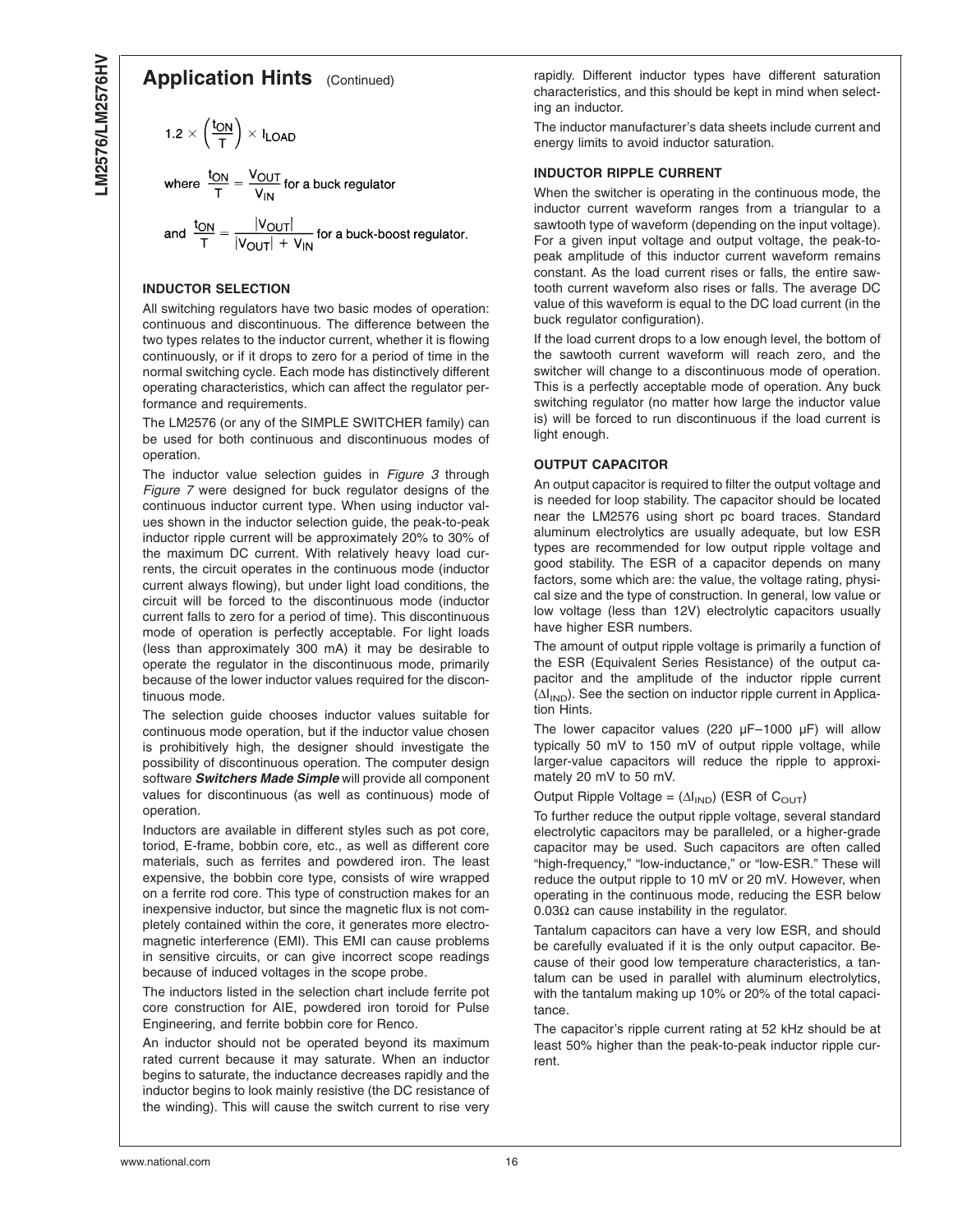## **Application Hints** (Continued)

$$
1.2 \times \left(\frac{t_{ON}}{T}\right) \times I_{LOAD}
$$

where  $\frac{t_{ON}}{T} = \frac{V_{OUT}}{V_{IN}}$  for a buck regulator

and  $\frac{t_{ON}}{T} = \frac{|V_{OUT}|}{|V_{OUT}| + V_{IN}}$  for a buck-boost regulator.

#### **INDUCTOR SELECTION**

All switching regulators have two basic modes of operation: continuous and discontinuous. The difference between the two types relates to the inductor current, whether it is flowing continuously, or if it drops to zero for a period of time in the normal switching cycle. Each mode has distinctively different operating characteristics, which can affect the regulator performance and requirements.

The LM2576 (or any of the SIMPLE SWITCHER family) can be used for both continuous and discontinuous modes of operation.

The inductor value selection guides in *[Figure 3](#page-12-0)* through *[Figure 7](#page-13-0)* were designed for buck regulator designs of the continuous inductor current type. When using inductor values shown in the inductor selection guide, the peak-to-peak inductor ripple current will be approximately 20% to 30% of the maximum DC current. With relatively heavy load currents, the circuit operates in the continuous mode (inductor current always flowing), but under light load conditions, the circuit will be forced to the discontinuous mode (inductor current falls to zero for a period of time). This discontinuous mode of operation is perfectly acceptable. For light loads (less than approximately 300 mA) it may be desirable to operate the regulator in the discontinuous mode, primarily because of the lower inductor values required for the discontinuous mode.

The selection guide chooses inductor values suitable for continuous mode operation, but if the inductor value chosen is prohibitively high, the designer should investigate the possibility of discontinuous operation. The computer design software *Switchers Made Simple* will provide all component values for discontinuous (as well as continuous) mode of operation.

Inductors are available in different styles such as pot core, toriod, E-frame, bobbin core, etc., as well as different core materials, such as ferrites and powdered iron. The least expensive, the bobbin core type, consists of wire wrapped on a ferrite rod core. This type of construction makes for an inexpensive inductor, but since the magnetic flux is not completely contained within the core, it generates more electromagnetic interference (EMI). This EMI can cause problems in sensitive circuits, or can give incorrect scope readings because of induced voltages in the scope probe.

The inductors listed in the selection chart include ferrite pot core construction for AIE, powdered iron toroid for Pulse Engineering, and ferrite bobbin core for Renco.

An inductor should not be operated beyond its maximum rated current because it may saturate. When an inductor begins to saturate, the inductance decreases rapidly and the inductor begins to look mainly resistive (the DC resistance of the winding). This will cause the switch current to rise very rapidly. Different inductor types have different saturation characteristics, and this should be kept in mind when selecting an inductor.

The inductor manufacturer's data sheets include current and energy limits to avoid inductor saturation.

#### **INDUCTOR RIPPLE CURRENT**

When the switcher is operating in the continuous mode, the inductor current waveform ranges from a triangular to a sawtooth type of waveform (depending on the input voltage). For a given input voltage and output voltage, the peak-topeak amplitude of this inductor current waveform remains constant. As the load current rises or falls, the entire sawtooth current waveform also rises or falls. The average DC value of this waveform is equal to the DC load current (in the buck regulator configuration).

If the load current drops to a low enough level, the bottom of the sawtooth current waveform will reach zero, and the switcher will change to a discontinuous mode of operation. This is a perfectly acceptable mode of operation. Any buck switching regulator (no matter how large the inductor value is) will be forced to run discontinuous if the load current is light enough.

#### **OUTPUT CAPACITOR**

An output capacitor is required to filter the output voltage and is needed for loop stability. The capacitor should be located near the LM2576 using short pc board traces. Standard aluminum electrolytics are usually adequate, but low ESR types are recommended for low output ripple voltage and good stability. The ESR of a capacitor depends on many factors, some which are: the value, the voltage rating, physical size and the type of construction. In general, low value or low voltage (less than 12V) electrolytic capacitors usually have higher ESR numbers.

The amount of output ripple voltage is primarily a function of the ESR (Equivalent Series Resistance) of the output capacitor and the amplitude of the inductor ripple current  $(\Delta I_{IND})$ . See the section on inductor ripple current in Application Hints.

The lower capacitor values (220  $\mu$ F–1000  $\mu$ F) will allow typically 50 mV to 150 mV of output ripple voltage, while larger-value capacitors will reduce the ripple to approximately 20 mV to 50 mV.

Output Ripple Voltage =  $(\Delta I_{IND})$  (ESR of C<sub>OUT</sub>)

To further reduce the output ripple voltage, several standard electrolytic capacitors may be paralleled, or a higher-grade capacitor may be used. Such capacitors are often called "high-frequency," "low-inductance," or "low-ESR." These will reduce the output ripple to 10 mV or 20 mV. However, when operating in the continuous mode, reducing the ESR below 0.03 $Ω$  can cause instability in the regulator.

Tantalum capacitors can have a very low ESR, and should be carefully evaluated if it is the only output capacitor. Because of their good low temperature characteristics, a tantalum can be used in parallel with aluminum electrolytics, with the tantalum making up 10% or 20% of the total capacitance.

The capacitor's ripple current rating at 52 kHz should be at least 50% higher than the peak-to-peak inductor ripple current.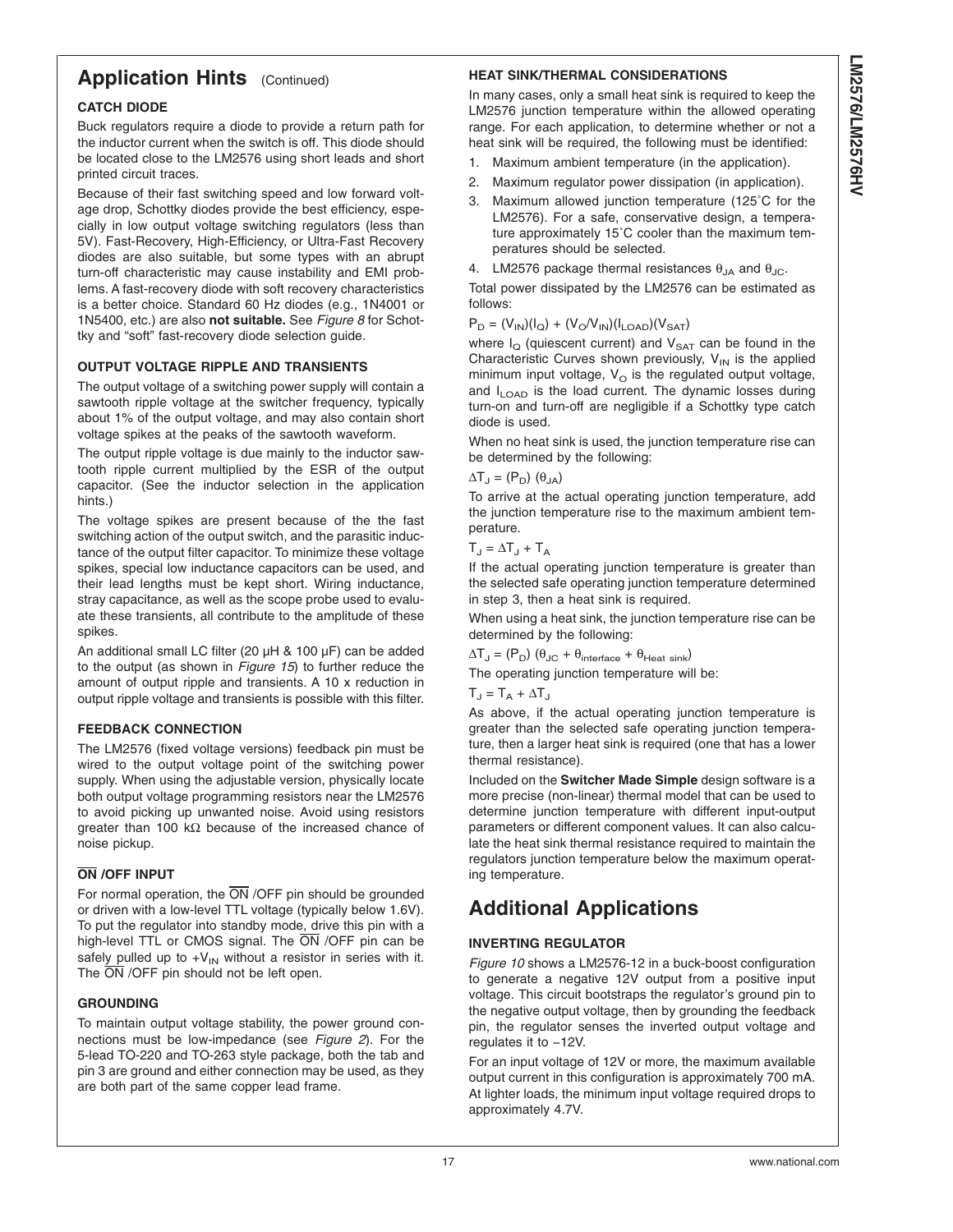# **Application Hints** (Continued)

## **CATCH DIODE**

Buck regulators require a diode to provide a return path for the inductor current when the switch is off. This diode should be located close to the LM2576 using short leads and short printed circuit traces.

Because of their fast switching speed and low forward voltage drop, Schottky diodes provide the best efficiency, especially in low output voltage switching regulators (less than 5V). Fast-Recovery, High-Efficiency, or Ultra-Fast Recovery diodes are also suitable, but some types with an abrupt turn-off characteristic may cause instability and EMI problems. A fast-recovery diode with soft recovery characteristics is a better choice. Standard 60 Hz diodes (e.g., 1N4001 or 1N5400, etc.) are also **not suitable.** See *[Figure 8](#page-15-0)* for Schottky and "soft" fast-recovery diode selection guide.

## **OUTPUT VOLTAGE RIPPLE AND TRANSIENTS**

The output voltage of a switching power supply will contain a sawtooth ripple voltage at the switcher frequency, typically about 1% of the output voltage, and may also contain short voltage spikes at the peaks of the sawtooth waveform.

The output ripple voltage is due mainly to the inductor sawtooth ripple current multiplied by the ESR of the output capacitor. (See the inductor selection in the application hints.)

The voltage spikes are present because of the the fast switching action of the output switch, and the parasitic inductance of the output filter capacitor. To minimize these voltage spikes, special low inductance capacitors can be used, and their lead lengths must be kept short. Wiring inductance, stray capacitance, as well as the scope probe used to evaluate these transients, all contribute to the amplitude of these spikes.

An additional small LC filter (20 µH & 100 µF) can be added to the output (as shown in *[Figure 15](#page-19-0)*) to further reduce the amount of output ripple and transients. A 10 x reduction in output ripple voltage and transients is possible with this filter.

## **FEEDBACK CONNECTION**

The LM2576 (fixed voltage versions) feedback pin must be wired to the output voltage point of the switching power supply. When using the adjustable version, physically locate both output voltage programming resistors near the LM2576 to avoid picking up unwanted noise. Avoid using resistors greater than 100 kΩ because of the increased chance of noise pickup.

## **ON /OFF INPUT**

For normal operation, the  $\overline{ON}$  /OFF pin should be grounded or driven with a low-level TTL voltage (typically below 1.6V). To put the regulator into standby mode, drive this pin with a high-level TTL or CMOS signal. The ON /OFF pin can be safely pulled up to  $+V_{IN}$  without a resistor in series with it. The  $\overline{ON}$  /OFF pin should not be left open.

## **GROUNDING**

To maintain output voltage stability, the power ground connections must be low-impedance (see *[Figure 2](#page-10-0)*). For the 5-lead TO-220 and TO-263 style package, both the tab and pin 3 are ground and either connection may be used, as they are both part of the same copper lead frame.

## **HEAT SINK/THERMAL CONSIDERATIONS**

In many cases, only a small heat sink is required to keep the LM2576 junction temperature within the allowed operating range. For each application, to determine whether or not a heat sink will be required, the following must be identified:

- 1. Maximum ambient temperature (in the application).
- 2. Maximum regulator power dissipation (in application).
- 3. Maximum allowed junction temperature (125˚C for the LM2576). For a safe, conservative design, a temperature approximately 15˚C cooler than the maximum temperatures should be selected.
- 4. LM2576 package thermal resistances  $\theta_{JA}$  and  $\theta_{JC}$ .

Total power dissipated by the LM2576 can be estimated as follows:

$$
\mathsf{P}_{\mathrm{D}} = (\mathsf{V}_{\mathsf{IN}})(\mathsf{I}_{\mathrm{Q}}) + (\mathsf{V}_{\mathrm{O}}/\mathsf{V}_{\mathsf{IN}})(\mathsf{I}_{\mathsf{LOAD}})(\mathsf{V}_{\mathsf{SAT}})
$$

where  $I_{\Omega}$  (quiescent current) and  $V_{\text{SAT}}$  can be found in the Characteristic Curves shown previously,  $V_{IN}$  is the applied minimum input voltage,  $V<sub>O</sub>$  is the regulated output voltage, and  $I_{\text{LOAD}}$  is the load current. The dynamic losses during turn-on and turn-off are negligible if a Schottky type catch diode is used.

When no heat sink is used, the junction temperature rise can be determined by the following:

$$
\Delta T_{\text{J}} = \begin{pmatrix} P_{\text{D}} \end{pmatrix} \begin{pmatrix} \theta_{\text{JA}} \end{pmatrix}
$$

To arrive at the actual operating junction temperature, add the junction temperature rise to the maximum ambient temperature.

 $T_J = \Delta T_J + T_A$ 

If the actual operating junction temperature is greater than the selected safe operating junction temperature determined in step 3, then a heat sink is required.

When using a heat sink, the junction temperature rise can be determined by the following:

 $\Delta T_J = (P_D)$   $(\theta_{JC} + \theta_{interface} + \theta_{Heat sink})$ The operating junction temperature will be:

 $T_J = T_A + \Delta T_J$ 

As above, if the actual operating junction temperature is greater than the selected safe operating junction temperature, then a larger heat sink is required (one that has a lower thermal resistance).

Included on the **Switcher Made Simple** design software is a more precise (non-linear) thermal model that can be used to determine junction temperature with different input-output parameters or different component values. It can also calculate the heat sink thermal resistance required to maintain the regulators junction temperature below the maximum operating temperature.

# **Additional Applications**

## **INVERTING REGULATOR**

*[Figure 10](#page-18-0)* shows a LM2576-12 in a buck-boost configuration to generate a negative 12V output from a positive input voltage. This circuit bootstraps the regulator's ground pin to the negative output voltage, then by grounding the feedback pin, the regulator senses the inverted output voltage and regulates it to −12V.

For an input voltage of 12V or more, the maximum available output current in this configuration is approximately 700 mA. At lighter loads, the minimum input voltage required drops to approximately 4.7V.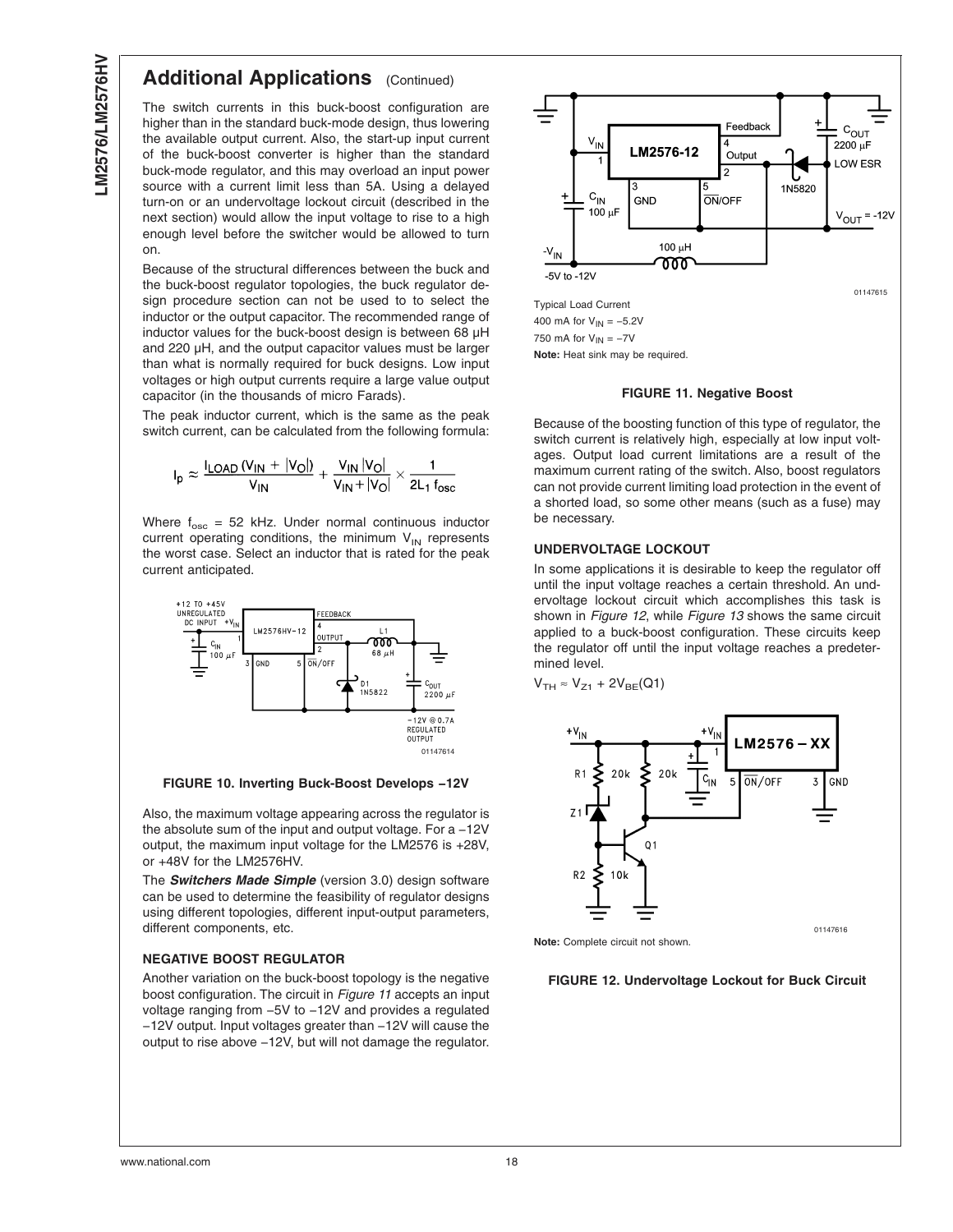# <span id="page-18-0"></span>**Additional Applications** (Continued)

The switch currents in this buck-boost configuration are higher than in the standard buck-mode design, thus lowering the available output current. Also, the start-up input current of the buck-boost converter is higher than the standard buck-mode regulator, and this may overload an input power source with a current limit less than 5A. Using a delayed turn-on or an undervoltage lockout circuit (described in the next section) would allow the input voltage to rise to a high enough level before the switcher would be allowed to turn on.

Because of the structural differences between the buck and the buck-boost regulator topologies, the buck regulator design procedure section can not be used to to select the inductor or the output capacitor. The recommended range of inductor values for the buck-boost design is between 68 µH and 220 µH, and the output capacitor values must be larger than what is normally required for buck designs. Low input voltages or high output currents require a large value output capacitor (in the thousands of micro Farads).

The peak inductor current, which is the same as the peak switch current, can be calculated from the following formula:

$$
I_p \approx \frac{I_{\text{LOAD}}\left(V_{\text{IN}} + |V_{\text{O}}|\right)}{V_{\text{IN}}} + \frac{V_{\text{IN}}\left|V_{\text{O}}\right|}{V_{\text{IN}}+|V_{\text{O}}|} \times \frac{1}{2L_1\,f_{\text{osc}}}
$$

Where  $f_{\rm osc} = 52$  kHz. Under normal continuous inductor current operating conditions, the minimum  $V_{IN}$  represents the worst case. Select an inductor that is rated for the peak current anticipated.



**FIGURE 10. Inverting Buck-Boost Develops −12V**

Also, the maximum voltage appearing across the regulator is the absolute sum of the input and output voltage. For a −12V output, the maximum input voltage for the LM2576 is +28V, or +48V for the LM2576HV.

The *Switchers Made Simple* (version 3.0) design software can be used to determine the feasibility of regulator designs using different topologies, different input-output parameters, different components, etc.

## **NEGATIVE BOOST REGULATOR**

Another variation on the buck-boost topology is the negative boost configuration. The circuit in *Figure 11* accepts an input voltage ranging from −5V to −12V and provides a regulated −12V output. Input voltages greater than −12V will cause the output to rise above −12V, but will not damage the regulator.



#### **FIGURE 11. Negative Boost**

Because of the boosting function of this type of regulator, the switch current is relatively high, especially at low input voltages. Output load current limitations are a result of the maximum current rating of the switch. Also, boost regulators can not provide current limiting load protection in the event of a shorted load, so some other means (such as a fuse) may be necessary.

## **UNDERVOLTAGE LOCKOUT**

In some applications it is desirable to keep the regulator off until the input voltage reaches a certain threshold. An undervoltage lockout circuit which accomplishes this task is shown in *Figure 12*, while *[Figure 13](#page-19-0)* shows the same circuit applied to a buck-boost configuration. These circuits keep the regulator off until the input voltage reaches a predetermined level.

$$
V_{\text{TH}} \approx V_{Z1} + 2V_{\text{BE}}(Q1)
$$



**Note:** Complete circuit not shown.

**FIGURE 12. Undervoltage Lockout for Buck Circuit**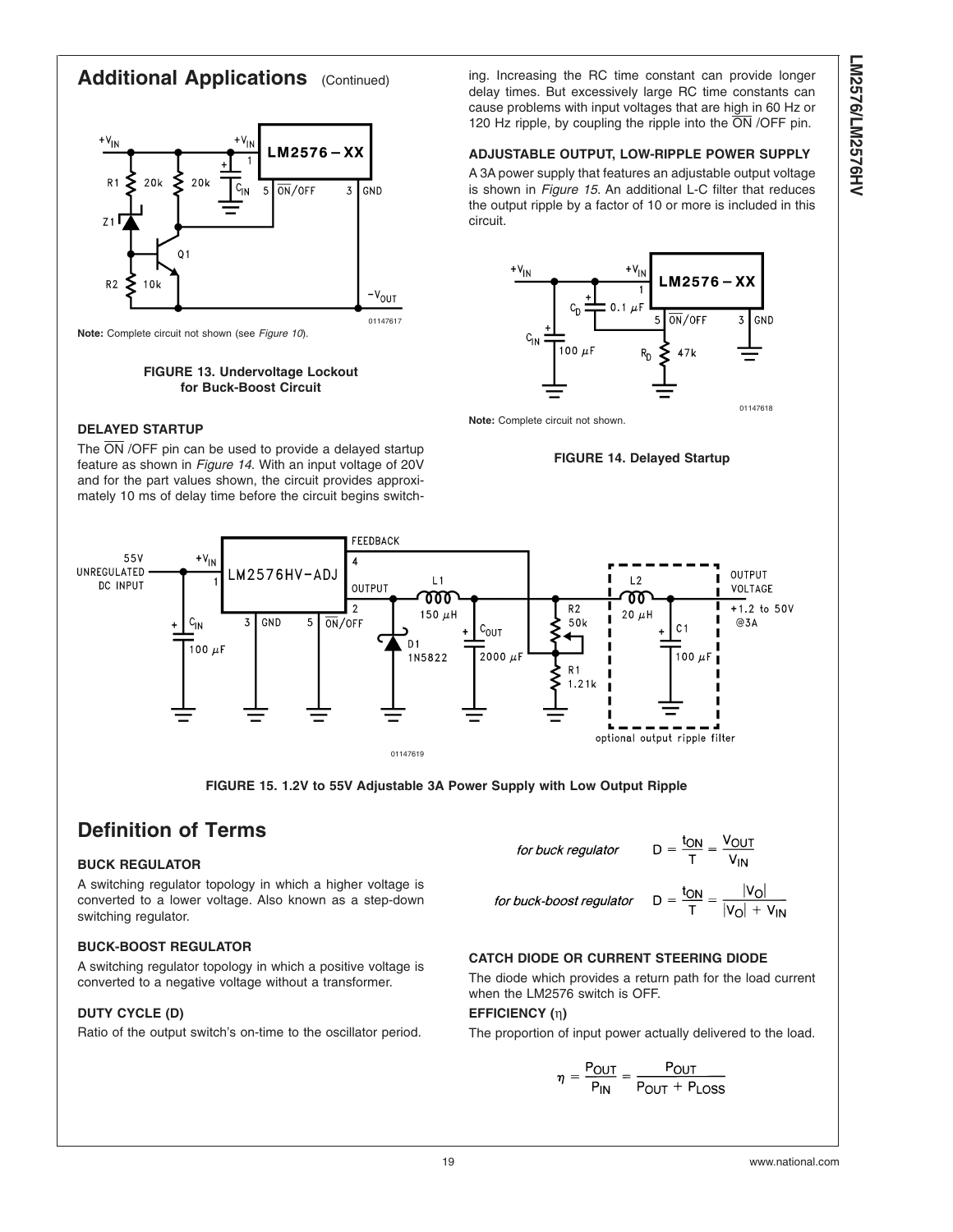# <span id="page-19-0"></span>**Additional Applications** (Continued)



**Note:** Complete circuit not shown (see *[Figure 10](#page-18-0)*).

#### **FIGURE 13. Undervoltage Lockout for Buck-Boost Circuit**

## **DELAYED STARTUP**

The  $\overline{ON}$  /OFF pin can be used to provide a delayed startup feature as shown in *Figure 14*. With an input voltage of 20V and for the part values shown, the circuit provides approximately 10 ms of delay time before the circuit begins switch-

ing. Increasing the RC time constant can provide longer delay times. But excessively large RC time constants can cause problems with input voltages that are high in 60 Hz or 120 Hz ripple, by coupling the ripple into the  $\overline{ON}$  /OFF pin.

### **ADJUSTABLE OUTPUT, LOW-RIPPLE POWER SUPPLY**

A 3A power supply that features an adjustable output voltage is shown in *Figure 15*. An additional L-C filter that reduces the output ripple by a factor of 10 or more is included in this circuit.



**Note:** Complete circuit not shown.

#### **FIGURE 14. Delayed Startup**





# **Definition of Terms**

## **BUCK REGULATOR**

A switching regulator topology in which a higher voltage is converted to a lower voltage. Also known as a step-down switching regulator.

## **BUCK-BOOST REGULATOR**

A switching regulator topology in which a positive voltage is converted to a negative voltage without a transformer.

## **DUTY CYCLE (D)**

Ratio of the output switch's on-time to the oscillator period.

$$
\frac{t_{ON}}{T} = \frac{V_{OUT}}{V_{IN}}
$$

for buck-boost regulator D

$$
\frac{2N}{T} = \frac{|V_O|}{|V_O| + V_{IN}}
$$

## **CATCH DIODE OR CURRENT STEERING DIODE**

The diode which provides a return path for the load current when the LM2576 switch is OFF.

 $D =$ 

## **EFFICIENCY (**η**)**

The proportion of input power actually delivered to the load.

$$
\eta = \frac{P_{OUT}}{P_{IN}} = \frac{P_{OUT}}{P_{OUT} + P_{LOSS}}
$$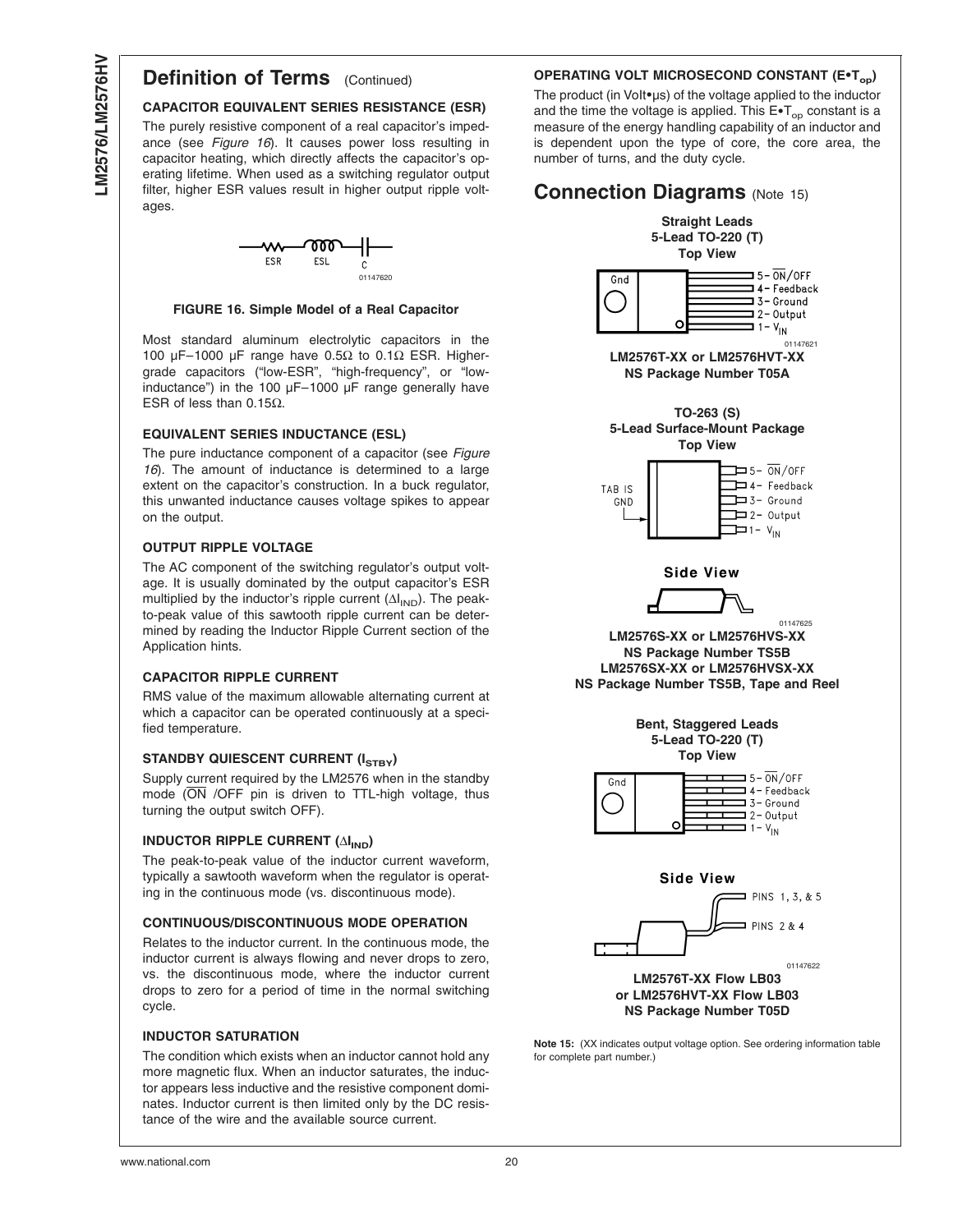# **Definition of Terms** (Continued)

### **CAPACITOR EQUIVALENT SERIES RESISTANCE (ESR)**

The purely resistive component of a real capacitor's impedance (see *Figure 16*). It causes power loss resulting in capacitor heating, which directly affects the capacitor's operating lifetime. When used as a switching regulator output filter, higher ESR values result in higher output ripple voltages.



#### **FIGURE 16. Simple Model of a Real Capacitor**

Most standard aluminum electrolytic capacitors in the 100 µF–1000 µF range have 0.5Ω to 0.1Ω ESR. Highergrade capacitors ("low-ESR", "high-frequency", or "lowinductance") in the 100  $\mu$ F-1000  $\mu$ F range generally have ESR of less than 0.15Ω.

#### **EQUIVALENT SERIES INDUCTANCE (ESL)**

The pure inductance component of a capacitor (see *Figure 16*). The amount of inductance is determined to a large extent on the capacitor's construction. In a buck regulator, this unwanted inductance causes voltage spikes to appear on the output.

#### **OUTPUT RIPPLE VOLTAGE**

The AC component of the switching regulator's output voltage. It is usually dominated by the output capacitor's ESR multiplied by the inductor's ripple current  $(\Delta I_{IND})$ . The peakto-peak value of this sawtooth ripple current can be determined by reading the Inductor Ripple Current section of the Application hints.

#### **CAPACITOR RIPPLE CURRENT**

RMS value of the maximum allowable alternating current at which a capacitor can be operated continuously at a specified temperature.

#### **STANDBY QUIESCENT CURRENT (ISTBY)**

Supply current required by the LM2576 when in the standby mode  $\overline{ON}$  /OFF pin is driven to TTL-high voltage, thus turning the output switch OFF).

#### **INDUCTOR RIPPLE CURRENT (∆I<sub>IND</sub>)**

The peak-to-peak value of the inductor current waveform, typically a sawtooth waveform when the regulator is operating in the continuous mode (vs. discontinuous mode).

#### **CONTINUOUS/DISCONTINUOUS MODE OPERATION**

Relates to the inductor current. In the continuous mode, the inductor current is always flowing and never drops to zero, vs. the discontinuous mode, where the inductor current drops to zero for a period of time in the normal switching cycle.

#### **INDUCTOR SATURATION**

The condition which exists when an inductor cannot hold any more magnetic flux. When an inductor saturates, the inductor appears less inductive and the resistive component dominates. Inductor current is then limited only by the DC resistance of the wire and the available source current.

#### **OPERATING VOLT MICROSECOND CONSTANT (E\*Top)**

The product (in Volt•µs) of the voltage applied to the inductor and the time the voltage is applied. This  $E\bullet T_{op}$  constant is a measure of the energy handling capability of an inductor and is dependent upon the type of core, the core area, the number of turns, and the duty cycle.



**Note 15:** (XX indicates output voltage option. See ordering information table for complete part number.)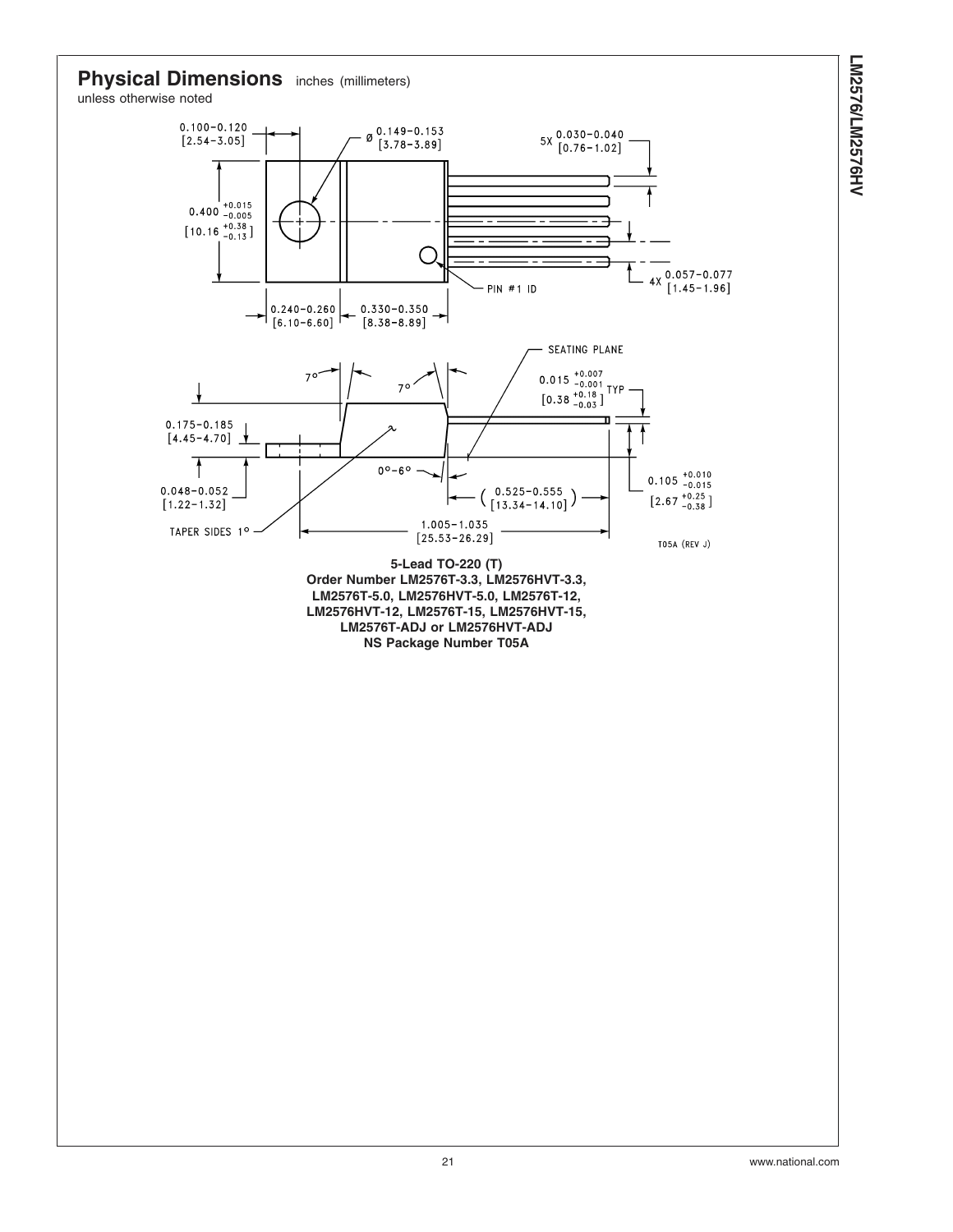

unless otherwise noted

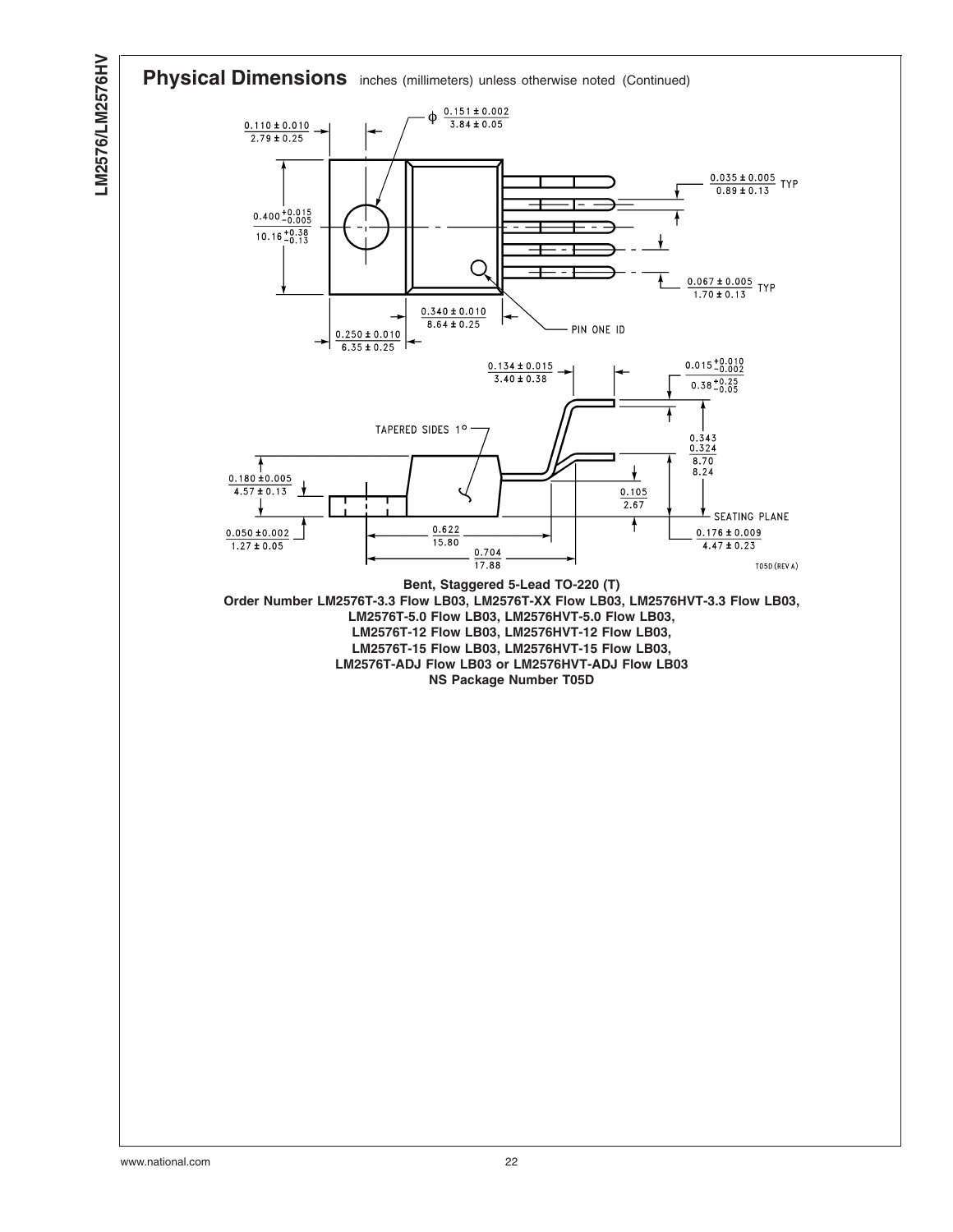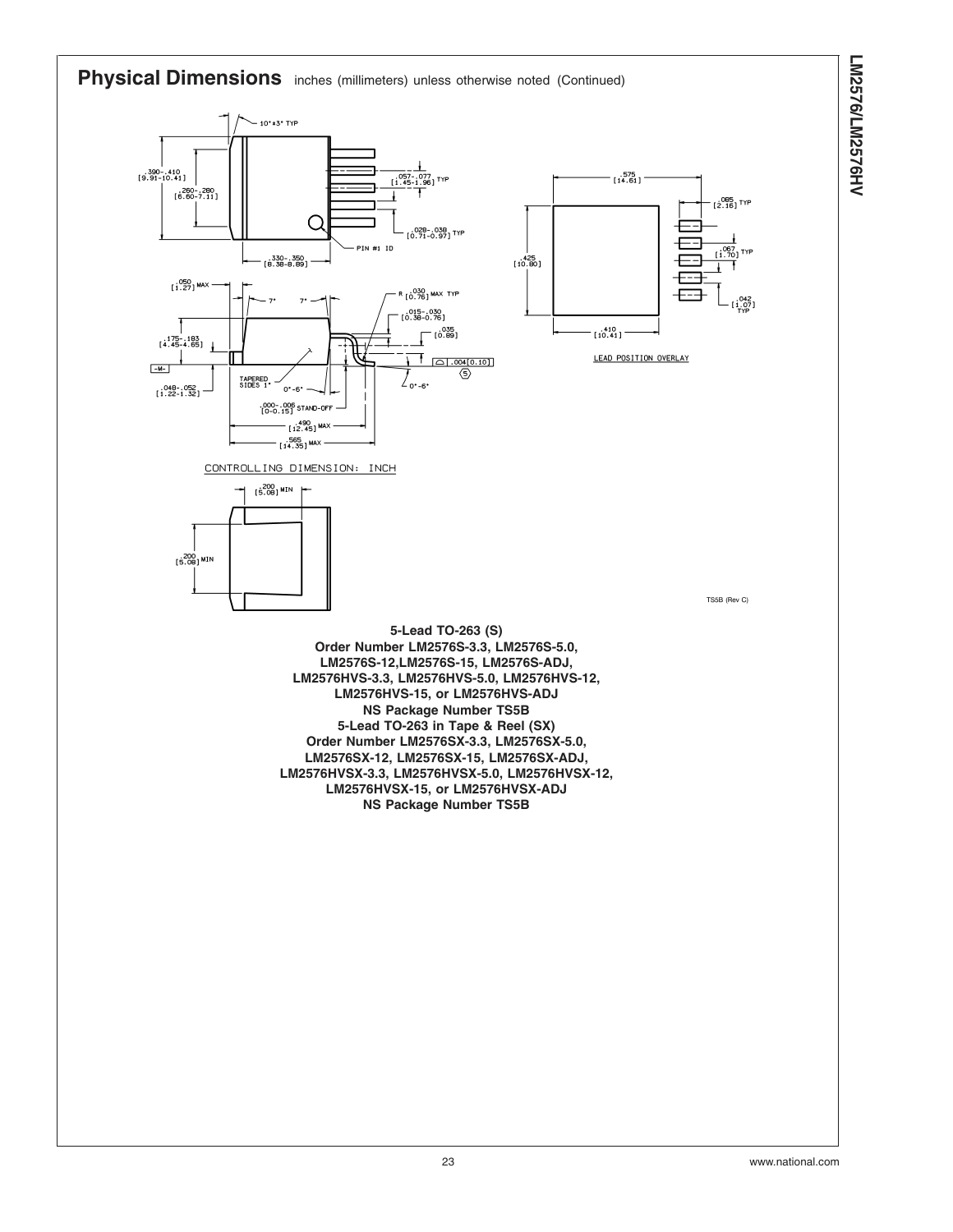